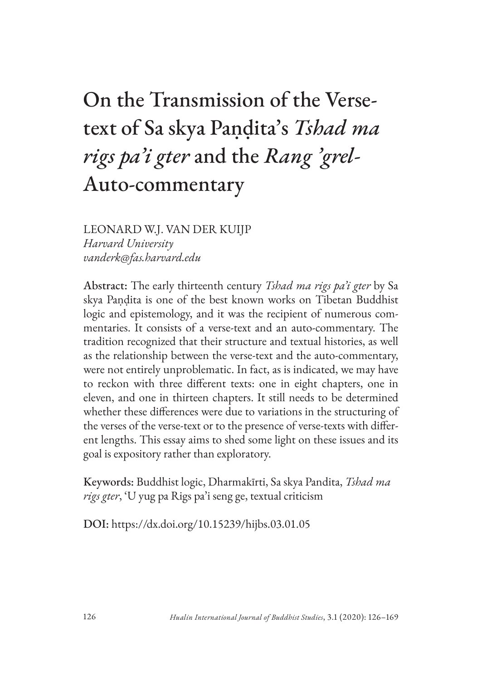# On the Transmission of the Versetext of Sa skya Paṇḍita's *Tshad ma rigs pa'i gter* and the *Rang 'grel-*Auto-commentary

LEONARD W.J. VAN DER KUIJP *Harvard University vanderk@fas.harvard.edu*

Abstract: The early thirteenth century *Tshad ma rigs pa'i gter* by Sa skya Paṇḍita is one of the best known works on Tibetan Buddhist logic and epistemology, and it was the recipient of numerous commentaries. It consists of a verse-text and an auto-commentary. The tradition recognized that their structure and textual histories, as well as the relationship between the verse-text and the auto-commentary, were not entirely unproblematic. In fact, as is indicated, we may have to reckon with three different texts: one in eight chapters, one in eleven, and one in thirteen chapters. It still needs to be determined whether these differences were due to variations in the structuring of the verses of the verse-text or to the presence of verse-texts with different lengths. This essay aims to shed some light on these issues and its goal is expository rather than exploratory.

Keywords: Buddhist logic, Dharmakīrti, Sa skya Pandita, *Tshad ma rigs gter*, 'U yug pa Rigs pa'i seng ge, textual criticism

DOI: https://dx.doi.org/10.15239/hijbs.03.01.05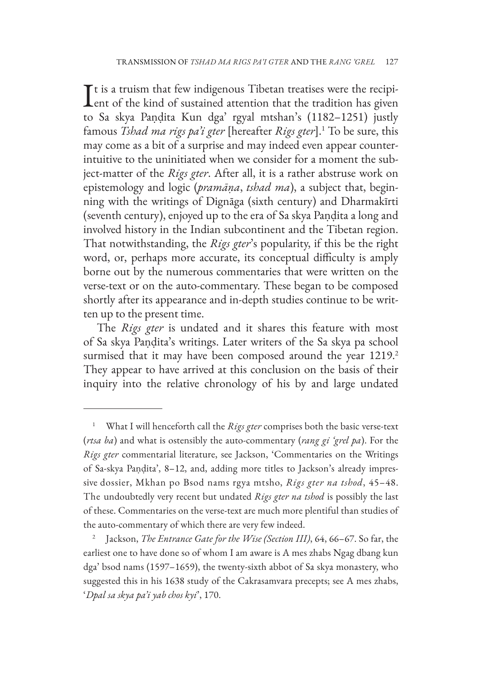It is a truism that few indigenous Tibetan treatises were the recipient of the kind of sustained attention that the tradition has given  $\mathsf{T}$ t is a truism that few indigenous Tibetan treatises were the recipito Sa skya Paṇḍita Kun dga' rgyal mtshan's (1182–1251) justly famous *Tshad ma rigs pa'i gter* [hereafter *Rigs gter*].1 To be sure, this may come as a bit of a surprise and may indeed even appear counterintuitive to the uninitiated when we consider for a moment the subject-matter of the *Rigs gter*. After all, it is a rather abstruse work on epistemology and logic (*pramāṇa*, *tshad ma*), a subject that, beginning with the writings of Dignāga (sixth century) and Dharmakīrti (seventh century), enjoyed up to the era of Sa skya Paṇḍita a long and involved history in the Indian subcontinent and the Tibetan region. That notwithstanding, the *Rigs gter*'s popularity, if this be the right word, or, perhaps more accurate, its conceptual difficulty is amply borne out by the numerous commentaries that were written on the verse-text or on the auto-commentary. These began to be composed shortly after its appearance and in-depth studies continue to be written up to the present time.

The *Rigs gter* is undated and it shares this feature with most of Sa skya Paṇḍita's writings. Later writers of the Sa skya pa school surmised that it may have been composed around the year 1219.<sup>2</sup> They appear to have arrived at this conclusion on the basis of their inquiry into the relative chronology of his by and large undated

<sup>1</sup> What I will henceforth call the *Rigs gter* comprises both the basic verse-text (*rtsa ba*) and what is ostensibly the auto-commentary (*rang gi 'grel pa*). For the *Rigs gter* commentarial literature, see Jackson, 'Commentaries on the Writings of Sa-skya Paṇḍita', 8–12, and, adding more titles to Jackson's already impressive dossier, Mkhan po Bsod nams rgya mtsho, *Rigs gter na tshod*, 45–48. The undoubtedly very recent but undated *Rigs gter na tshod* is possibly the last of these. Commentaries on the verse-text are much more plentiful than studies of the auto-commentary of which there are very few indeed.

<sup>2</sup> Jackson, *The Entrance Gate for the Wise (Section III)*, 64, 66–67. So far, the earliest one to have done so of whom I am aware is A mes zhabs Ngag dbang kun dga' bsod nams (1597–1659), the twenty-sixth abbot of Sa skya monastery, who suggested this in his 1638 study of the Cakrasamvara precepts; see A mes zhabs, '*Dpal sa skya pa'i yab chos kyi*', 170.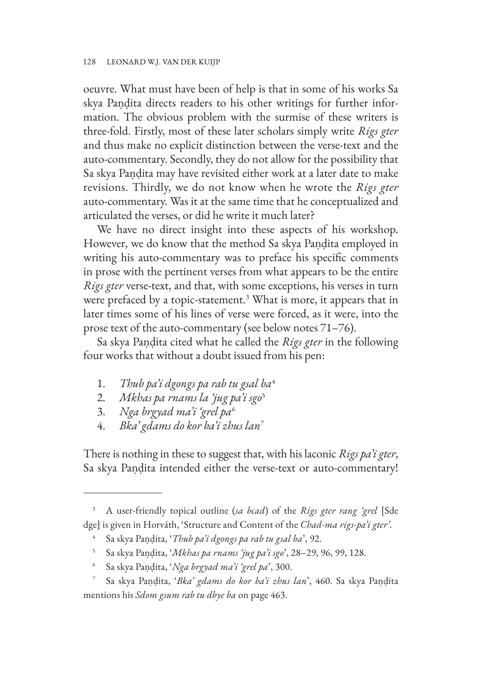oeuvre. What must have been of help is that in some of his works Sa skya Paṇḍita directs readers to his other writings for further information. The obvious problem with the surmise of these writers is three-fold. Firstly, most of these later scholars simply write *Rigs gter* and thus make no explicit distinction between the verse-text and the auto-commentary. Secondly, they do not allow for the possibility that Sa skya Paṇḍita may have revisited either work at a later date to make revisions. Thirdly, we do not know when he wrote the *Rigs gter* auto-commentary. Was it at the same time that he conceptualized and articulated the verses, or did he write it much later?

We have no direct insight into these aspects of his workshop. However, we do know that the method Sa skya Paṇḍita employed in writing his auto-commentary was to preface his specific comments in prose with the pertinent verses from what appears to be the entire *Rigs gter* verse-text, and that, with some exceptions, his verses in turn were prefaced by a topic-statement. $3$  What is more, it appears that in later times some of his lines of verse were forced, as it were, into the prose text of the auto-commentary (see below notes 71–76).

Sa skya Paṇḍita cited what he called the *Rigs gter* in the following four works that without a doubt issued from his pen:

- 1. *Thub pa'i dgongs pa rab tu gsal ba*<sup>4</sup>
- 2. *Mkhas pa rnams la 'jug pa'i sgo*<sup>5</sup>
- 3. *Nga brgyad ma'i 'grel pa*<sup>6</sup>
- 4. *Bka' gdams do kor ba'i zhus lan*<sup>7</sup>

There is nothing in these to suggest that, with his laconic *Rigs pa'i gter*, Sa skya Paṇḍita intended either the verse-text or auto-commentary!

- <sup>5</sup> Sa skya Paṇḍita, '*Mkhas pa rnams 'jug pa'i sgo*', 28–29, 96, 99, 128.
- <sup>6</sup> Sa skya Paṇḍita, '*Nga brgyad ma'i 'grel pa*', 300.

<sup>3</sup> A user-friendly topical outline (*sa bcad*) of the *Rigs gter rang 'grel* [Sde dge] is given in Horváth, 'Structure and Content of the *Chad-ma rigs-pa'i gter'*.

<sup>4</sup> Sa skya Paṇḍita, '*Thub pa'i dgongs pa rab tu gsal ba*', 92.

<sup>7</sup> Sa skya Paṇḍita, '*Bka' gdams do kor ba'i zhus lan*', 460. Sa skya Paṇḍita mentions his *Sdom gsum rab tu dbye ba* on page 463.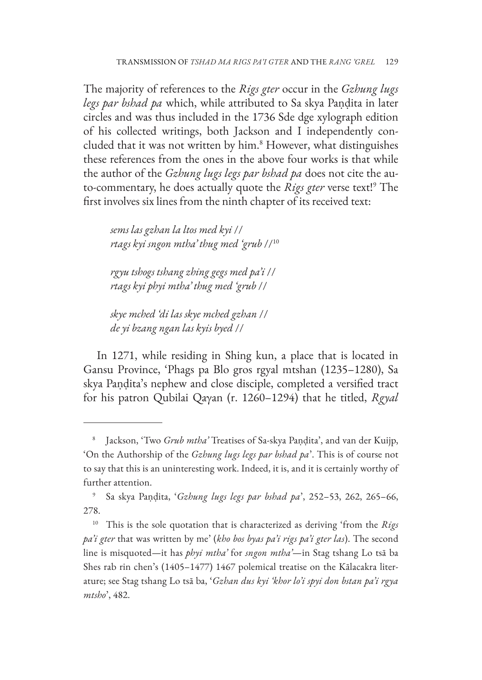The majority of references to the *Rigs gter* occur in the *Gzhung lugs legs par bshad pa* which, while attributed to Sa skya Paṇḍita in later circles and was thus included in the 1736 Sde dge xylograph edition of his collected writings, both Jackson and I independently concluded that it was not written by him.<sup>8</sup> However, what distinguishes these references from the ones in the above four works is that while the author of the *Gzhung lugs legs par bshad pa* does not cite the auto-commentary, he does actually quote the *Rigs gter* verse text!9 The first involves six lines from the ninth chapter of its received text:

*sems las gzhan la ltos med kyi* // *rtags kyi sngon mtha' thug med 'grub* //10

*rgyu tshogs tshang zhing gegs med pa'i* // *rtags kyi phyi mtha' thug med 'grub* //

*skye mched 'di las skye mched gzhan* // *de yi bzang ngan las kyis byed* //

In 1271, while residing in Shing kun, a place that is located in Gansu Province, 'Phags pa Blo gros rgyal mtshan (1235–1280), Sa skya Paṇḍita's nephew and close disciple, completed a versified tract for his patron Qubilai Qaγan (r. 1260–1294) that he titled, *Rgyal* 

<sup>8</sup> Jackson, 'Two *Grub mtha'* Treatises of Sa-skya Paṇḍita', and van der Kuijp, 'On the Authorship of the *Gzhung lugs legs par bshad pa*'. This is of course not to say that this is an uninteresting work. Indeed, it is, and it is certainly worthy of further attention.

<sup>9</sup> Sa skya Paṇḍita, '*Gzhung lugs legs par bshad pa*', 252–53, 262, 265–66, 278.

<sup>10</sup> This is the sole quotation that is characterized as deriving 'from the *Rigs pa'i gter* that was written by me' (*kho bos byas pa'i rigs pa'i gter las*). The second line is misquoted—it has *phyi mtha'* for *sngon mtha'*—in Stag tshang Lo tsā ba Shes rab rin chen's (1405–1477) 1467 polemical treatise on the Kālacakra literature; see Stag tshang Lo tsā ba, '*Gzhan dus kyi 'khor lo'i spyi don bstan pa'i rgya mtsho*', 482.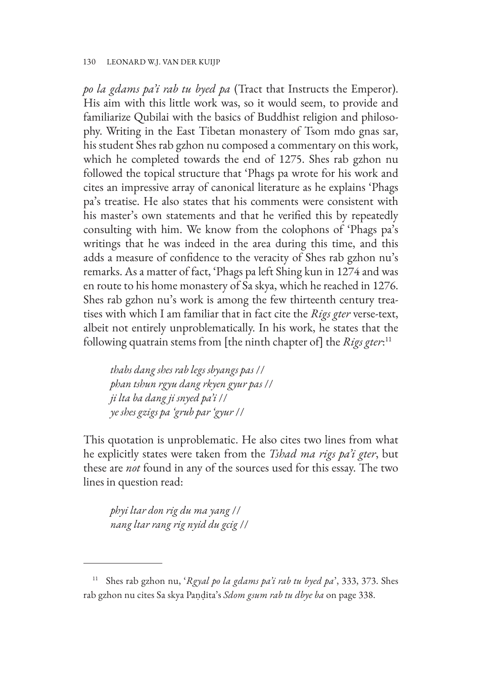#### 130 LEONARD W.J. VAN DER KUIJP

*po la gdams pa'i rab tu byed pa* (Tract that Instructs the Emperor). His aim with this little work was, so it would seem, to provide and familiarize Qubilai with the basics of Buddhist religion and philosophy. Writing in the East Tibetan monastery of Tsom mdo gnas sar, his student Shes rab gzhon nu composed a commentary on this work, which he completed towards the end of 1275. Shes rab gzhon nu followed the topical structure that 'Phags pa wrote for his work and cites an impressive array of canonical literature as he explains 'Phags pa's treatise. He also states that his comments were consistent with his master's own statements and that he verified this by repeatedly consulting with him. We know from the colophons of 'Phags pa's writings that he was indeed in the area during this time, and this adds a measure of confidence to the veracity of Shes rab gzhon nu's remarks. As a matter of fact, 'Phags pa left Shing kun in 1274 and was en route to his home monastery of Sa skya, which he reached in 1276. Shes rab gzhon nu's work is among the few thirteenth century treatises with which I am familiar that in fact cite the *Rigs gter* verse-text, albeit not entirely unproblematically. In his work, he states that the following quatrain stems from [the ninth chapter of] the *Rigs gter*: 11

*thabs dang shes rab legs sbyangs pas* // *phan tshun rgyu dang rkyen gyur pas* // *ji lta ba dang ji snyed pa'i* // *ye shes gzigs pa 'grub par 'gyur* //

This quotation is unproblematic. He also cites two lines from what he explicitly states were taken from the *Tshad ma rigs pa'i gter*, but these are *not* found in any of the sources used for this essay. The two lines in question read:

*phyi ltar don rig du ma yang* // *nang ltar rang rig nyid du gcig* //

<sup>11</sup> Shes rab gzhon nu, '*Rgyal po la gdams pa'i rab tu byed pa*', 333, 373. Shes rab gzhon nu cites Sa skya Paṇḍita's *Sdom gsum rab tu dbye ba* on page 338.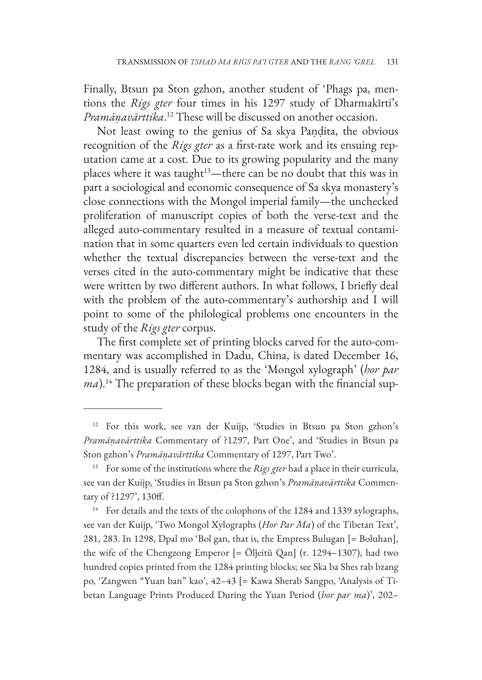Finally, Btsun pa Ston gzhon, another student of 'Phags pa, mentions the *Rigs gter* four times in his 1297 study of Dharmakīrti's *Pramāṇavārttika*. 12 These will be discussed on another occasion.

Not least owing to the genius of Sa skya Paṇḍita, the obvious recognition of the *Rigs gter* as a first-rate work and its ensuing reputation came at a cost. Due to its growing popularity and the many places where it was taught<sup>13</sup>—there can be no doubt that this was in part a sociological and economic consequence of Sa skya monastery's close connections with the Mongol imperial family—the unchecked proliferation of manuscript copies of both the verse-text and the alleged auto-commentary resulted in a measure of textual contamination that in some quarters even led certain individuals to question whether the textual discrepancies between the verse-text and the verses cited in the auto-commentary might be indicative that these were written by two different authors. In what follows, I briefly deal with the problem of the auto-commentary's authorship and I will point to some of the philological problems one encounters in the study of the *Rigs gter* corpus.

The first complete set of printing blocks carved for the auto-commentary was accomplished in Dadu, China, is dated December 16, 1284, and is usually referred to as the 'Mongol xylograph' (*hor par ma*).<sup>14</sup> The preparation of these blocks began with the financial sup-

<sup>12</sup> For this work, see van der Kuijp, 'Studies in Btsun pa Ston gzhon's *Pramāṇavārttika* Commentary of ?1297, Part One', and 'Studies in Btsun pa Ston gzhon's *Pramāṇavārttika* Commentary of 1297, Part Two'.

<sup>13</sup> For some of the institutions where the *Rigs gter* had a place in their curricula, see van der Kuijp, 'Studies in Btsun pa Ston gzhon's *Pramāṇavārttika* Commentary of ?1297', 130ff.

<sup>&</sup>lt;sup>14</sup> For details and the texts of the colophons of the 1284 and 1339 xylographs, see van der Kuijp, 'Two Mongol Xylographs (*Hor Par Ma*) of the Tibetan Text', 281, 283. In 1298, Dpal mo 'Bol gan, that is, the Empress Bulugan [= Boluhan], the wife of the Chengzong Emperor [= Ölǰeitü Qan] (r. 1294–1307), had two hundred copies printed from the 1284 printing blocks; see Ska ba Shes rab bzang po, 'Zangwen "Yuan ban" kao', 42–43 [= Kawa Sherab Sangpo, 'Analysis of Tibetan Language Prints Produced During the Yuan Period (*hor par ma*)', 202–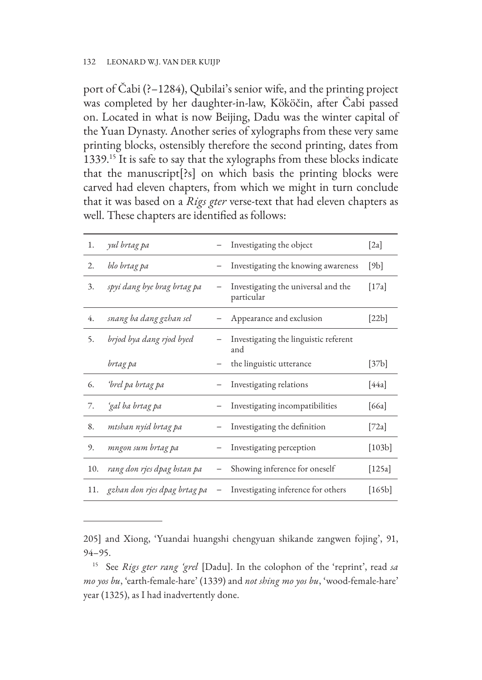#### 132 LEONARD W.J. VAN DER KUIJP

port of Čabi (?–1284), Qubilai's senior wife, and the printing project was completed by her daughter-in-law, Kököčin, after Čabi passed on. Located in what is now Beijing, Dadu was the winter capital of the Yuan Dynasty. Another series of xylographs from these very same printing blocks, ostensibly therefore the second printing, dates from 1339.15 It is safe to say that the xylographs from these blocks indicate that the manuscript[?s] on which basis the printing blocks were carved had eleven chapters, from which we might in turn conclude that it was based on a *Rigs gter* verse-text that had eleven chapters as well. These chapters are identified as follows:

| 1.  | yul brtag pa                     | Investigating the object                          | [2a]   |
|-----|----------------------------------|---------------------------------------------------|--------|
| 2.  | blo brtag pa                     | Investigating the knowing awareness               | [9b]   |
| 3.  | spyi dang bye brag brtag pa      | Investigating the universal and the<br>particular | [17a]  |
| 4.  | snang ba dang gzhan sel          | - Appearance and exclusion                        | [22b]  |
| 5.  | brjod bya dang rjod byed         | Investigating the linguistic referent<br>and      |        |
|     | brtag pa                         | the linguistic utterance                          | [37b]  |
| 6.  | ʻbrel pa brtag pa                | Investigating relations                           | [44a]  |
| 7.  | ʻgal ba brtag pa                 | Investigating incompatibilities                   | [66a]  |
| 8.  | mtshan nyid brtag pa             | Investigating the definition                      | [72a]  |
| 9.  | mngon sum brtag pa               | Investigating perception                          | [103b] |
| 10. | rang don rjes dpag bstan pa      | Showing inference for oneself                     | [125a] |
|     | 11. gzhan don rjes dpag brtag pa | Investigating inference for others                | [165b] |

205] and Xiong, 'Yuandai huangshi chengyuan shikande zangwen fojing', 91, 94–95.

<sup>15</sup> See *Rigs gter rang 'grel* [Dadu]. In the colophon of the 'reprint', read *sa mo yos bu*, 'earth-female-hare' (1339) and *not shing mo yos bu*, 'wood-female-hare' year (1325), as I had inadvertently done.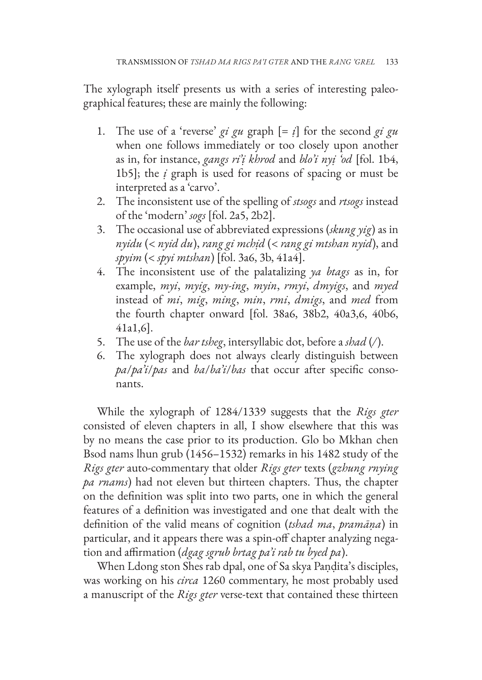The xylograph itself presents us with a series of interesting paleographical features; these are mainly the following:

- 1. The use of a 'reverse' *gi gu* graph  $[= i]$  for the second *gi gu* when one follows immediately or too closely upon another as in, for instance, *gangs ri'ị khrod* and *blo'i nyị 'od* [fol. 1b4, 1b5]; the *ị* graph is used for reasons of spacing or must be interpreted as a 'carvo'.
- 2. The inconsistent use of the spelling of *stsogs* and *rtsogs* instead of the 'modern' *sogs* [fol. 2a5, 2b2].
- 3. The occasional use of abbreviated expressions (*skung yig*) as in *nyidu* (< *nyid du*), *rang gi mchịd* (< *rang gi mtshan nyid*), and *spyim* (< *spyi mtshan*) [fol. 3a6, 3b, 41a4].
- 4. The inconsistent use of the palatalizing *ya btags* as in, for example, *myi*, *myig*, *my-ing*, *myin*, *rmyi*, *dmyigs*, and *myed* instead of *mi*, *mig*, *ming*, *min*, *rmi*, *dmigs*, and *med* from the fourth chapter onward [fol. 38a6, 38b2, 40a3,6, 40b6, 41a1,6].
- 5. The use of the *bar tsheg*, intersyllabic dot, before a *shad* (*/*).
- 6. The xylograph does not always clearly distinguish between *pa*/*pa'i*/*pas* and *ba*/*ba'i*/*bas* that occur after specific consonants.

While the xylograph of 1284/1339 suggests that the *Rigs gter* consisted of eleven chapters in all, I show elsewhere that this was by no means the case prior to its production. Glo bo Mkhan chen Bsod nams lhun grub (1456–1532) remarks in his 1482 study of the *Rigs gter* auto-commentary that older *Rigs gter* texts (*gzhung rnying pa rnams*) had not eleven but thirteen chapters. Thus, the chapter on the definition was split into two parts, one in which the general features of a definition was investigated and one that dealt with the definition of the valid means of cognition (*tshad ma*, *pramāṇa*) in particular, and it appears there was a spin-off chapter analyzing negation and affirmation (*dgag sgrub brtag pa'i rab tu byed pa*).

When Ldong ston Shes rab dpal, one of Sa skya Paṇḍita's disciples, was working on his *circa* 1260 commentary, he most probably used a manuscript of the *Rigs gter* verse-text that contained these thirteen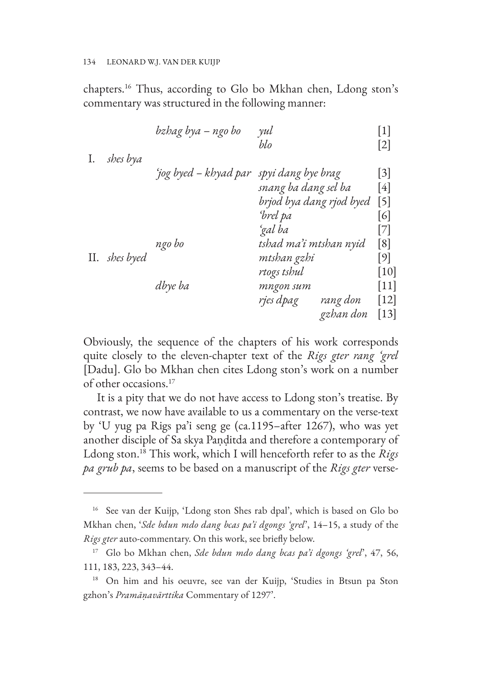#### 134 LEONARD W.J. VAN DER KUIJP

chapters.16 Thus, according to Glo bo Mkhan chen, Ldong ston's commentary was structured in the following manner:

| I. | shes bya      | bzhag bya – ngo bo    | $\gamma$ ul<br>blo                                   | $[1]$<br>$\lceil 2 \rceil$                       |
|----|---------------|-----------------------|------------------------------------------------------|--------------------------------------------------|
|    |               | 'jog byed – khyad par | spyi dang bye brag<br>snang ba dang sel ba           | $\lceil 3 \rceil$<br>[4]                         |
|    |               |                       | brjod bya dang rjod byed<br>ʻbrel pa<br>ʻgal ba      | $\lceil 5 \rceil$<br>[6]<br>[7]                  |
|    | II. shes byed | ngo bo                | tshad ma'i mtshan nyid<br>mtshan gzhi<br>rtogs tshul | $\lceil 8 \rceil$<br>$[9]$<br>$\lceil 10 \rceil$ |
|    |               | dbye ba               | mngon sum<br>rjes dpag<br>rang don<br>gzhan don      | $\lceil 11 \rceil$<br>[12]<br>$[13]$             |
|    |               |                       |                                                      |                                                  |

Obviously, the sequence of the chapters of his work corresponds quite closely to the eleven-chapter text of the *Rigs gter rang 'grel* [Dadu]. Glo bo Mkhan chen cites Ldong ston's work on a number of other occasions.17

It is a pity that we do not have access to Ldong ston's treatise. By contrast, we now have available to us a commentary on the verse-text by 'U yug pa Rigs pa'i seng ge (ca.1195–after 1267), who was yet another disciple of Sa skya Paṇḍitda and therefore a contemporary of Ldong ston.18 This work, which I will henceforth refer to as the *Rigs pa grub pa*, seems to be based on a manuscript of the *Rigs gter* verse-

<sup>16</sup> See van der Kuijp, 'Ldong ston Shes rab dpal', which is based on Glo bo Mkhan chen, '*Sde bdun mdo dang bcas pa'i dgongs 'grel*', 14–15, a study of the *Rigs gter* auto-commentary. On this work, see briefly below.

<sup>17</sup> Glo bo Mkhan chen, *Sde bdun mdo dang bcas pa'i dgongs 'grel*', 47, 56, 111, 183, 223, 343–44.

<sup>18</sup> On him and his oeuvre, see van der Kuijp, 'Studies in Btsun pa Ston gzhon's *Pramāṇavārttika* Commentary of 1297'.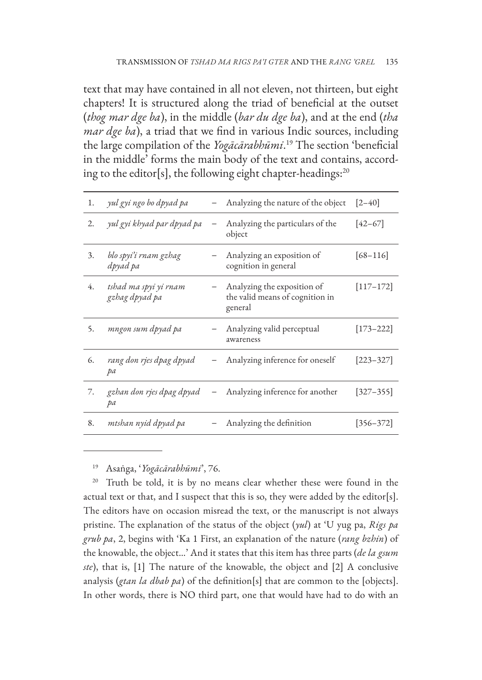text that may have contained in all not eleven, not thirteen, but eight chapters! It is structured along the triad of beneficial at the outset (*thog mar dge ba*), in the middle (*bar du dge ba*), and at the end (*tha mar dge ba*), a triad that we find in various Indic sources, including the large compilation of the *Yogācārabhūmi*. 19 The section 'beneficial in the middle' forms the main body of the text and contains, according to the editor[s], the following eight chapter-headings:<sup>20</sup>

| 1. | yul gyi ngo bo dpyad pa                 | Analyzing the nature of the object                                        | $[2 - 40]$    |
|----|-----------------------------------------|---------------------------------------------------------------------------|---------------|
| 2. | yul gyi khyad par dpyad pa              | Analyzing the particulars of the<br>object                                | $[42 - 67]$   |
| 3. | blo spyi'i rnam gzhag<br>dpyad pa       | Analyzing an exposition of<br>cognition in general                        | $[68 - 116]$  |
| 4. | tshad ma spyi yi rnam<br>gzhag dpyad pa | Analyzing the exposition of<br>the valid means of cognition in<br>general | $[117 - 172]$ |
| 5. | mngon sum dpyad pa                      | Analyzing valid perceptual<br>awareness                                   | $[173 - 222]$ |
| 6. | rang don rjes dpag dpyad<br>pа          | - Analyzing inference for oneself                                         | $[223 - 327]$ |
| 7. | gzhan don rjes dpag dpyad<br>pа         | Analyzing inference for another                                           | $[327 - 355]$ |
| 8. | mtshan nyid dpyad pa                    | Analyzing the definition                                                  | $[356 - 372]$ |
|    |                                         |                                                                           |               |

<sup>19</sup> Asaṅga, '*Yogācārabhūmi*', 76.

<sup>20</sup> Truth be told, it is by no means clear whether these were found in the actual text or that, and I suspect that this is so, they were added by the editor[s]. The editors have on occasion misread the text, or the manuscript is not always pristine. The explanation of the status of the object (*yul*) at 'U yug pa, *Rigs pa grub pa*, 2, begins with 'Ka 1 First, an explanation of the nature (*rang bzhin*) of the knowable, the object…' And it states that this item has three parts (*de la gsum ste*), that is, [1] The nature of the knowable, the object and [2] A conclusive analysis (*gtan la dbab pa*) of the definition[s] that are common to the [objects]. In other words, there is NO third part, one that would have had to do with an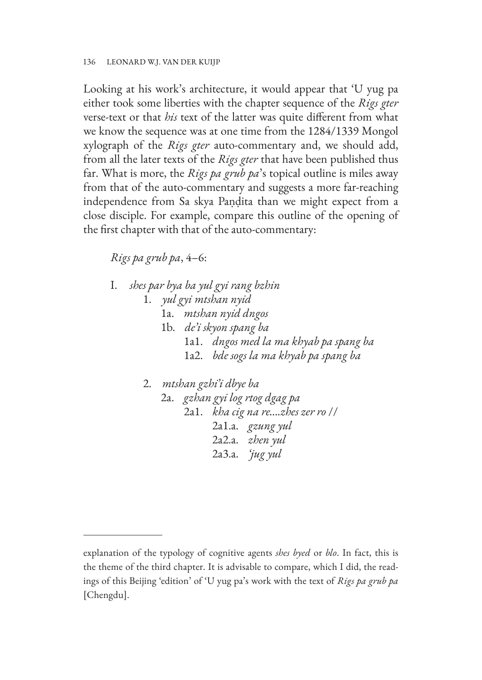Looking at his work's architecture, it would appear that 'U yug pa either took some liberties with the chapter sequence of the *Rigs gter* verse-text or that *his* text of the latter was quite different from what we know the sequence was at one time from the 1284/1339 Mongol xylograph of the *Rigs gter* auto-commentary and, we should add, from all the later texts of the *Rigs gter* that have been published thus far. What is more, the *Rigs pa grub pa*'s topical outline is miles away from that of the auto-commentary and suggests a more far-reaching independence from Sa skya Paṇḍita than we might expect from a close disciple. For example, compare this outline of the opening of the first chapter with that of the auto-commentary:

## *Rigs pa grub pa*, 4–6:

- I. *shes par bya ba yul gyi rang bzhin*
	- 1. *yul gyi mtshan nyid*
		- 1a. *mtshan nyid dngos*
		- 1b. *de'i skyon spang ba*
			- 1a1. *dngos med la ma khyab pa spang ba*
			- 1a2. *bde sogs la ma khyab pa spang ba*
	- 2. *mtshan gzhi'i dbye ba*

2a. *gzhan gyi log rtog dgag pa* 2a1. *kha cig na re….zhes zer ro* // 2a1.a. *gzung yul* 2a2.a. *zhen yul* 2a3.a. *'jug yul*

explanation of the typology of cognitive agents *shes byed* or *blo*. In fact, this is the theme of the third chapter. It is advisable to compare, which I did, the readings of this Beijing 'edition' of 'U yug pa's work with the text of *Rigs pa grub pa* [Chengdu].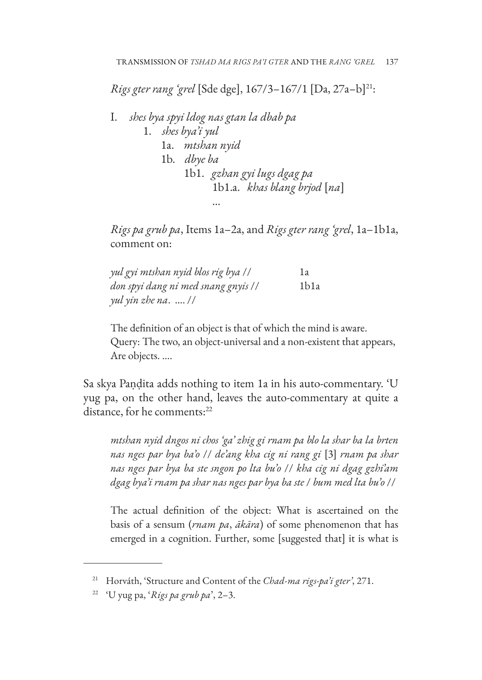*Rigs gter rang 'grel* [Sde dge], 167/3-167/1 [Da, 27a-b]<sup>21</sup>:

I. *shes bya spyi ldog nas gtan la dbab pa* 1. *shes bya'i yul* 1a. *mtshan nyid* 1b. *dbye ba* 1b1. *gzhan gyi lugs dgag pa* 1b1.a. *khas blang brjod* [*na*]

*Rigs pa grub pa*, Items 1a–2a, and *Rigs gter rang 'grel*, 1a–1b1a, comment on:

| yul gyi mtshan nyid blos rig bya // | 1a               |
|-------------------------------------|------------------|
| don spyi dang ni med snang gnyis // | 1 <sub>b1a</sub> |
| yul yin zhe na.  //                 |                  |

…

The definition of an object is that of which the mind is aware. Query: The two, an object-universal and a non-existent that appears, Are objects. ….

Sa skya Paṇḍita adds nothing to item 1a in his auto-commentary. 'U yug pa, on the other hand, leaves the auto-commentary at quite a distance, for he comments:<sup>22</sup>

*mtshan nyid dngos ni chos 'ga' zhig gi rnam pa blo la shar ba la brten nas nges par bya ba'o* // *de'ang kha cig ni rang gi* [3] *rnam pa shar nas nges par bya ba ste sngon po lta bu'o* // *kha cig ni dgag gzhi'am dgag bya'i rnam pa shar nas nges par bya ba ste* / *bum med lta bu'o* //

The actual definition of the object: What is ascertained on the basis of a sensum (*rnam pa*, *ākāra*) of some phenomenon that has emerged in a cognition. Further, some [suggested that] it is what is

<sup>21</sup> Horváth, 'Structure and Content of the *Chad-ma rigs-pa'i gter'*, 271.

<sup>22</sup> 'U yug pa, '*Rigs pa grub pa*', 2–3.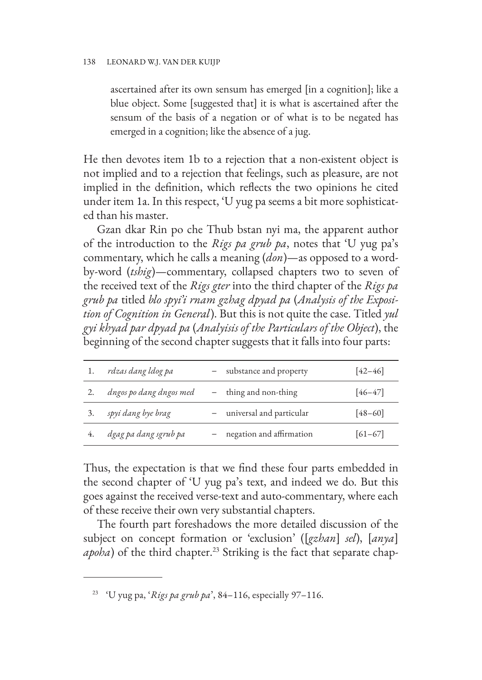ascertained after its own sensum has emerged [in a cognition]; like a blue object. Some [suggested that] it is what is ascertained after the sensum of the basis of a negation or of what is to be negated has emerged in a cognition; like the absence of a jug.

He then devotes item 1b to a rejection that a non-existent object is not implied and to a rejection that feelings, such as pleasure, are not implied in the definition, which reflects the two opinions he cited under item 1a. In this respect, 'U yug pa seems a bit more sophisticated than his master.

Gzan dkar Rin po che Thub bstan nyi ma, the apparent author of the introduction to the *Rigs pa grub pa*, notes that 'U yug pa's commentary, which he calls a meaning (*don*)—as opposed to a wordby-word (*tshig*)—commentary, collapsed chapters two to seven of the received text of the *Rigs gter* into the third chapter of the *Rigs pa grub pa* titled *blo spyi'i rnam gzhag dpyad pa* (*Analysis of the Exposition of Cognition in General*). But this is not quite the case. Titled *yul gyi khyad par dpyad pa* (*Analyisis of the Particulars of the Object*), the beginning of the second chapter suggests that it falls into four parts:

|    | rdzas dang ldog pa      | - substance and property   | $[42 - 46]$ |
|----|-------------------------|----------------------------|-------------|
|    | dngos po dang dngos med | - thing and non-thing      | $[46 - 47]$ |
|    | spyi dang bye brag      | - universal and particular | $[48 - 60]$ |
| 4. | dgag pa dang sgrub pa   | - negation and affirmation | $[61-67]$   |

Thus, the expectation is that we find these four parts embedded in the second chapter of 'U yug pa's text, and indeed we do. But this goes against the received verse-text and auto-commentary, where each of these receive their own very substantial chapters.

The fourth part foreshadows the more detailed discussion of the subject on concept formation or 'exclusion' ([*gzhan*] *sel*), [*anya*] *apoha*) of the third chapter.<sup>23</sup> Striking is the fact that separate chap-

<sup>23</sup> 'U yug pa, '*Rigs pa grub pa*', 84–116, especially 97–116.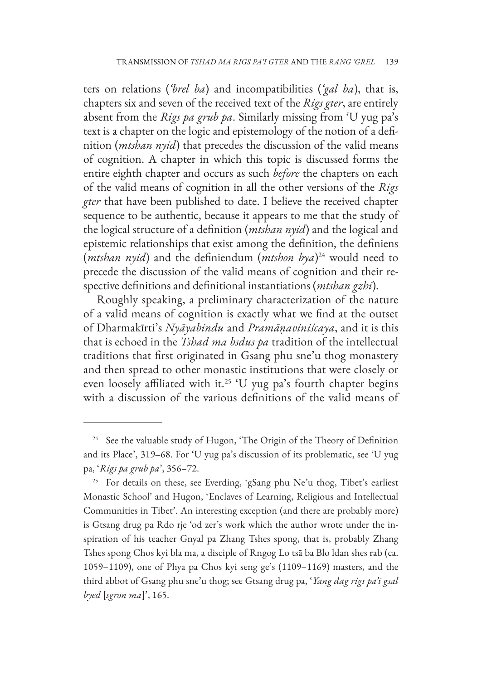ters on relations (*'brel ba*) and incompatibilities (*'gal ba*), that is, chapters six and seven of the received text of the *Rigs gter*, are entirely absent from the *Rigs pa grub pa*. Similarly missing from 'U yug pa's text is a chapter on the logic and epistemology of the notion of a definition (*mtshan nyid*) that precedes the discussion of the valid means of cognition. A chapter in which this topic is discussed forms the entire eighth chapter and occurs as such *before* the chapters on each of the valid means of cognition in all the other versions of the *Rigs gter* that have been published to date. I believe the received chapter sequence to be authentic, because it appears to me that the study of the logical structure of a definition (*mtshan nyid*) and the logical and epistemic relationships that exist among the definition, the definiens (*mtshan nyid*) and the definiendum (*mtshon bya*) 24 would need to precede the discussion of the valid means of cognition and their respective definitions and definitional instantiations (*mtshan gzhi*).

Roughly speaking, a preliminary characterization of the nature of a valid means of cognition is exactly what we find at the outset of Dharmakīrti's *Nyāyabindu* and *Pramāṇaviniścaya*, and it is this that is echoed in the *Tshad ma bsdus pa* tradition of the intellectual traditions that first originated in Gsang phu sne'u thog monastery and then spread to other monastic institutions that were closely or even loosely affiliated with it.<sup>25</sup> 'U yug pa's fourth chapter begins with a discussion of the various definitions of the valid means of

<sup>&</sup>lt;sup>24</sup> See the valuable study of Hugon, 'The Origin of the Theory of Definition and its Place', 319-68. For 'U yug pa's discussion of its problematic, see 'U yug pa, '*Rigs pa grub pa*', 356–72.

<sup>&</sup>lt;sup>25</sup> For details on these, see Everding, 'gSang phu Ne'u thog, Tibet's earliest Monastic School' and Hugon, 'Enclaves of Learning, Religious and Intellectual Communities in Tibet'. An interesting exception (and there are probably more) is Gtsang drug pa Rdo rje 'od zer's work which the author wrote under the inspiration of his teacher Gnyal pa Zhang Tshes spong, that is, probably Zhang Tshes spong Chos kyi bla ma, a disciple of Rngog Lo tsā ba Blo ldan shes rab (ca. 1059–1109), one of Phya pa Chos kyi seng ge's (1109–1169) masters, and the third abbot of Gsang phu sne'u thog; see Gtsang drug pa, '*Yang dag rigs pa'i gsal byed* [*sgron ma*]', 165.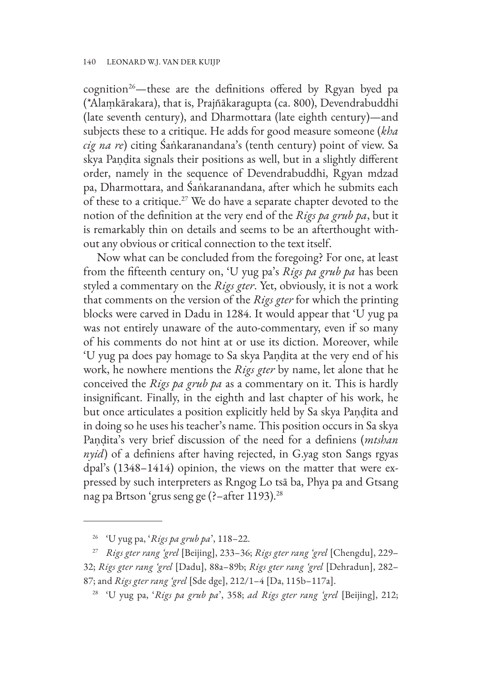cognition<sup>26</sup>—these are the definitions offered by Rgyan byed pa (\*Alaṃkārakara), that is, Prajñākaragupta (ca. 800), Devendrabuddhi (late seventh century), and Dharmottara (late eighth century)—and subjects these to a critique. He adds for good measure someone (*kha cig na re*) citing Śaṅkaranandana's (tenth century) point of view. Sa skya Paṇḍita signals their positions as well, but in a slightly different order, namely in the sequence of Devendrabuddhi, Rgyan mdzad pa, Dharmottara, and Śaṅkaranandana, after which he submits each of these to a critique.27 We do have a separate chapter devoted to the notion of the definition at the very end of the *Rigs pa grub pa*, but it is remarkably thin on details and seems to be an afterthought without any obvious or critical connection to the text itself.

Now what can be concluded from the foregoing? For one, at least from the fifteenth century on, 'U yug pa's *Rigs pa grub pa* has been styled a commentary on the *Rigs gter*. Yet, obviously, it is not a work that comments on the version of the *Rigs gter* for which the printing blocks were carved in Dadu in 1284. It would appear that 'U yug pa was not entirely unaware of the auto-commentary, even if so many of his comments do not hint at or use its diction. Moreover, while 'U yug pa does pay homage to Sa skya Paṇḍita at the very end of his work, he nowhere mentions the *Rigs gter* by name, let alone that he conceived the *Rigs pa grub pa* as a commentary on it. This is hardly insignificant. Finally, in the eighth and last chapter of his work, he but once articulates a position explicitly held by Sa skya Paṇḍita and in doing so he uses his teacher's name. This position occurs in Sa skya Paṇḍita's very brief discussion of the need for a definiens (*mtshan nyid*) of a definiens after having rejected, in G.yag ston Sangs rgyas dpal's (1348–1414) opinion, the views on the matter that were expressed by such interpreters as Rngog Lo tsā ba, Phya pa and Gtsang nag pa Brtson 'grus seng ge (?–after 1193).28

<sup>26</sup> 'U yug pa, '*Rigs pa grub pa*', 118–22.

<sup>27</sup> *Rigs gter rang 'grel* [Beijing], 233–36; *Rigs gter rang 'grel* [Chengdu], 229– 32; *Rigs gter rang 'grel* [Dadu], 88a–89b; *Rigs gter rang 'grel* [Dehradun], 282– 87; and *Rigs gter rang 'grel* [Sde dge], 212/1–4 [Da, 115b–117a].

<sup>28</sup> 'U yug pa, '*Rigs pa grub pa*', 358; *ad Rigs gter rang 'grel* [Beijing], 212;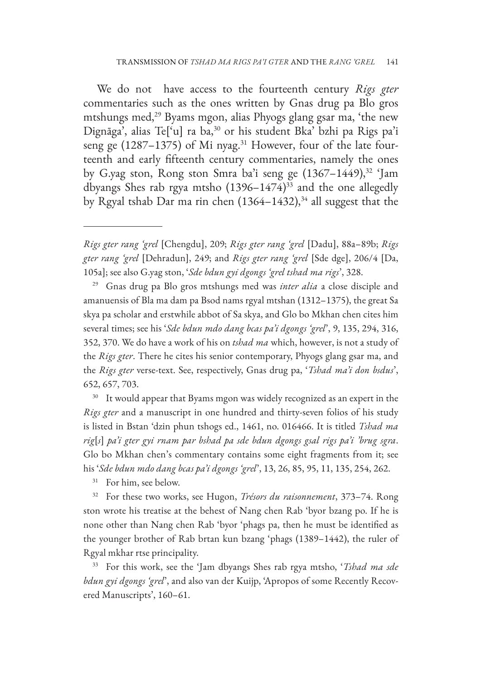We do not have access to the fourteenth century *Rigs gter* commentaries such as the ones written by Gnas drug pa Blo gros mtshungs med,<sup>29</sup> Byams mgon, alias Phyogs glang gsar ma, 'the new Dignāga', alias Te['u] ra ba,30 or his student Bka' bzhi pa Rigs pa'i seng ge (1287–1375) of Mi nyag.<sup>31</sup> However, four of the late fourteenth and early fifteenth century commentaries, namely the ones by G.yag ston, Rong ston Smra ba'i seng ge  $(1367-1449),$ <sup>32</sup> 'Jam dbyangs Shes rab rgya mtsho  $(1396-1474)^{33}$  and the one allegedly by Rgyal tshab Dar ma rin chen  $(1364–1432),$ <sup>34</sup> all suggest that the

<sup>30</sup> It would appear that Byams mgon was widely recognized as an expert in the *Rigs gter* and a manuscript in one hundred and thirty-seven folios of his study is listed in Bstan 'dzin phun tshogs ed., 1461, no. 016466. It is titled *Tshad ma rig*[*s*] *pa'i gter gyi rnam par bshad pa sde bdun dgongs gsal rigs pa'i 'brug sgra*. Glo bo Mkhan chen's commentary contains some eight fragments from it; see his '*Sde bdun mdo dang bcas pa'i dgongs 'grel*', 13, 26, 85, 95, 11, 135, 254, 262.

<sup>31</sup> For him, see below.

<sup>32</sup> For these two works, see Hugon, *Trésors du raisonnement*, 373–74. Rong ston wrote his treatise at the behest of Nang chen Rab 'byor bzang po. If he is none other than Nang chen Rab 'byor 'phags pa, then he must be identified as the younger brother of Rab brtan kun bzang 'phags (1389–1442), the ruler of Rgyal mkhar rtse principality.

<sup>33</sup> For this work, see the 'Jam dbyangs Shes rab rgya mtsho, '*Tshad ma sde bdun gyi dgongs 'grel*', and also van der Kuijp, 'Apropos of some Recently Recovered Manuscripts', 160–61.

*Rigs gter rang 'grel* [Chengdu], 209; *Rigs gter rang 'grel* [Dadu], 88a–89b; *Rigs gter rang 'grel* [Dehradun], 249; and *Rigs gter rang 'grel* [Sde dge], 206/4 [Da, 105a]; see also G.yag ston, '*Sde bdun gyi dgongs 'grel tshad ma rigs*', 328.

<sup>29</sup> Gnas drug pa Blo gros mtshungs med was *inter alia* a close disciple and amanuensis of Bla ma dam pa Bsod nams rgyal mtshan (1312–1375), the great Sa skya pa scholar and erstwhile abbot of Sa skya, and Glo bo Mkhan chen cites him several times; see his '*Sde bdun mdo dang bcas pa'i dgongs 'grel*', 9, 135, 294, 316, 352, 370. We do have a work of his on *tshad ma* which, however, is not a study of the *Rigs gter*. There he cites his senior contemporary, Phyogs glang gsar ma, and the *Rigs gter* verse-text. See, respectively, Gnas drug pa, '*Tshad ma'i don bsdus*', 652, 657, 703.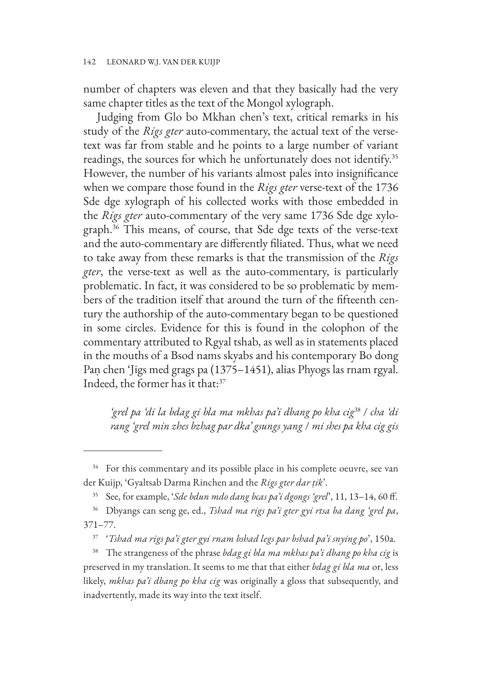number of chapters was eleven and that they basically had the very same chapter titles as the text of the Mongol xylograph.

Judging from Glo bo Mkhan chen's text, critical remarks in his study of the *Rigs gter* auto-commentary, the actual text of the versetext was far from stable and he points to a large number of variant readings, the sources for which he unfortunately does not identify.<sup>35</sup> However, the number of his variants almost pales into insignificance when we compare those found in the *Rigs gter* verse-text of the 1736 Sde dge xylograph of his collected works with those embedded in the *Rigs gter* auto-commentary of the very same 1736 Sde dge xylograph.36 This means, of course, that Sde dge texts of the verse-text and the auto-commentary are differently filiated. Thus, what we need to take away from these remarks is that the transmission of the *Rigs gter*, the verse-text as well as the auto-commentary, is particularly problematic. In fact, it was considered to be so problematic by members of the tradition itself that around the turn of the fifteenth century the authorship of the auto-commentary began to be questioned in some circles. Evidence for this is found in the colophon of the commentary attributed to Rgyal tshab, as well as in statements placed in the mouths of a Bsod nams skyabs and his contemporary Bo dong Paṇ chen 'Jigs med grags pa (1375–1451), alias Phyogs las rnam rgyal. Indeed, the former has it that:37

*'grel pa 'di la bdag gi bla ma mkhas pa'i dbang po kha cig*38 / *cha 'di rang 'grel min zhes bzhag par dka' gsungs yang* / *mi shes pa kha cig gis* 

<sup>&</sup>lt;sup>34</sup> For this commentary and its possible place in his complete oeuvre, see van der Kuijp, 'Gyaltsab Darma Rinchen and the *Rigs gter dar ṭik*'.

<sup>35</sup> See, for example, '*Sde bdun mdo dang bcas pa'i dgongs 'grel*', 11, 13–14, 60 ff.

<sup>36</sup> Dbyangs can seng ge, ed., *Tshad ma rigs pa'i gter gyi rtsa ba dang 'grel pa*, 371–77.

<sup>37</sup> '*Tshad ma rigs pa'i gter gyi rnam bshad legs par bshad pa'i snying po*', 150a.

<sup>38</sup> The strangeness of the phrase *bdag gi bla ma mkhas pa'i dbang po kha cig* is preserved in my translation. It seems to me that that either *bdag gi bla ma* or, less likely, *mkhas pa'i dbang po kha cig* was originally a gloss that subsequently, and inadvertently, made its way into the text itself.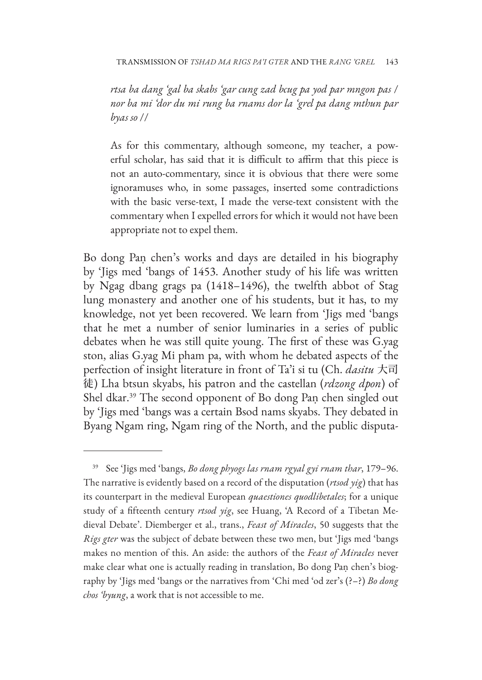*rtsa ba dang 'gal ba skabs 'gar cung zad bcug pa yod par mngon pas* / *nor ba mi 'dor du mi rung ba rnams dor la 'grel pa dang mthun par byas so* //

As for this commentary, although someone, my teacher, a powerful scholar, has said that it is difficult to affirm that this piece is not an auto-commentary, since it is obvious that there were some ignoramuses who, in some passages, inserted some contradictions with the basic verse-text, I made the verse-text consistent with the commentary when I expelled errors for which it would not have been appropriate not to expel them.

Bo dong Paṇ chen's works and days are detailed in his biography by 'Jigs med 'bangs of 1453. Another study of his life was written by Ngag dbang grags pa (1418–1496), the twelfth abbot of Stag lung monastery and another one of his students, but it has, to my knowledge, not yet been recovered. We learn from 'Jigs med 'bangs that he met a number of senior luminaries in a series of public debates when he was still quite young. The first of these was G.yag ston, alias G.yag Mi pham pa, with whom he debated aspects of the perfection of insight literature in front of Ta'i si tu (Ch. *dasitu* 大司 徒) Lha btsun skyabs, his patron and the castellan (*rdzong dpon*) of Shel dkar.39 The second opponent of Bo dong Paṇ chen singled out by 'Jigs med 'bangs was a certain Bsod nams skyabs. They debated in Byang Ngam ring, Ngam ring of the North, and the public disputa-

<sup>39</sup> See 'Jigs med 'bangs, *Bo dong phyogs las rnam rgyal gyi rnam thar*, 179–96. The narrative is evidently based on a record of the disputation (*rtsod yig*) that has its counterpart in the medieval European *quaestiones quodlibetales*; for a unique study of a fifteenth century *rtsod yig*, see Huang, 'A Record of a Tibetan Medieval Debate'. Diemberger et al., trans., *Feast of Miracles*, 50 suggests that the *Rigs gter* was the subject of debate between these two men, but 'Jigs med 'bangs makes no mention of this. An aside: the authors of the *Feast of Miracles* never make clear what one is actually reading in translation, Bo dong Paṇ chen's biography by 'Jigs med 'bangs or the narratives from 'Chi med 'od zer's (?–?) *Bo dong chos 'byung*, a work that is not accessible to me.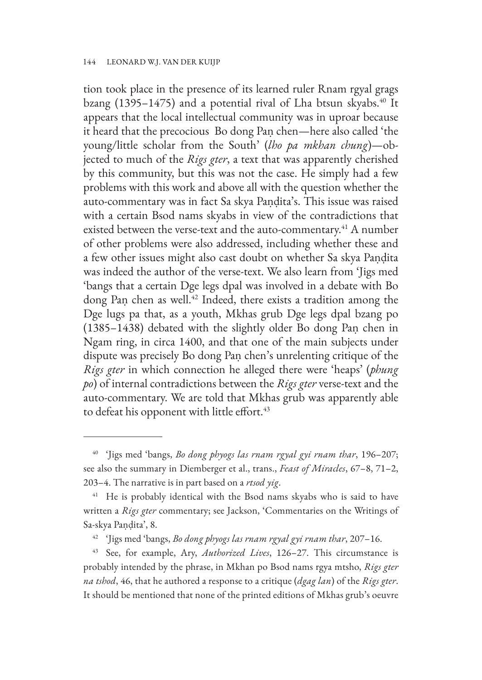tion took place in the presence of its learned ruler Rnam rgyal grags bzang (1395–1475) and a potential rival of Lha btsun skyabs.<sup>40</sup> It appears that the local intellectual community was in uproar because it heard that the precocious Bo dong Paṇ chen—here also called 'the young/little scholar from the South' (*lho pa mkhan chung*)—objected to much of the *Rigs gter*, a text that was apparently cherished by this community, but this was not the case. He simply had a few problems with this work and above all with the question whether the auto-commentary was in fact Sa skya Paṇḍita's. This issue was raised with a certain Bsod nams skyabs in view of the contradictions that existed between the verse-text and the auto-commentary.<sup>41</sup> A number of other problems were also addressed, including whether these and a few other issues might also cast doubt on whether Sa skya Paṇḍita was indeed the author of the verse-text. We also learn from 'Jigs med 'bangs that a certain Dge legs dpal was involved in a debate with Bo dong Paṇ chen as well.<sup>42</sup> Indeed, there exists a tradition among the Dge lugs pa that, as a youth, Mkhas grub Dge legs dpal bzang po (1385–1438) debated with the slightly older Bo dong Paṇ chen in Ngam ring, in circa 1400, and that one of the main subjects under dispute was precisely Bo dong Paṇ chen's unrelenting critique of the *Rigs gter* in which connection he alleged there were 'heaps' (*phung po*) of internal contradictions between the *Rigs gter* verse-text and the auto-commentary. We are told that Mkhas grub was apparently able to defeat his opponent with little effort.<sup>43</sup>

<sup>40</sup> 'Jigs med 'bangs, *Bo dong phyogs las rnam rgyal gyi rnam thar*, 196–207; see also the summary in Diemberger et al., trans., *Feast of Miracles*, 67–8, 71–2, 203–4. The narrative is in part based on a *rtsod yig*.

<sup>&</sup>lt;sup>41</sup> He is probably identical with the Bsod nams skyabs who is said to have written a *Rigs gter* commentary; see Jackson, 'Commentaries on the Writings of Sa-skya Paṇḍita', 8.

<sup>42</sup> 'Jigs med 'bangs, *Bo dong phyogs las rnam rgyal gyi rnam thar*, 207–16.

<sup>43</sup> See, for example, Ary, *Authorized Lives*, 126–27. This circumstance is probably intended by the phrase, in Mkhan po Bsod nams rgya mtsho, *Rigs gter na tshod*, 46, that he authored a response to a critique (*dgag lan*) of the *Rigs gter*. It should be mentioned that none of the printed editions of Mkhas grub's oeuvre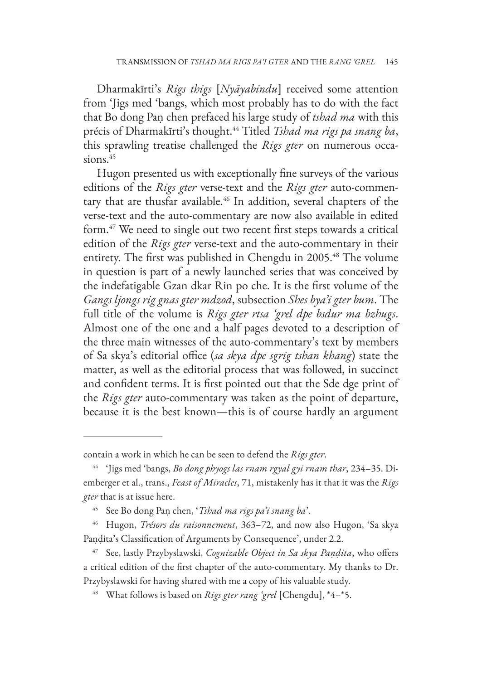Dharmakīrti's *Rigs thigs* [*Nyāyabindu*] received some attention from 'Jigs med 'bangs, which most probably has to do with the fact that Bo dong Paṇ chen prefaced his large study of *tshad ma* with this précis of Dharmakīrti's thought.<sup>44</sup> Titled *Tshad ma rigs pa snang ba*, this sprawling treatise challenged the *Rigs gter* on numerous occasions. $45$ 

Hugon presented us with exceptionally fine surveys of the various editions of the *Rigs gter* verse-text and the *Rigs gter* auto-commentary that are thusfar available.<sup>46</sup> In addition, several chapters of the verse-text and the auto-commentary are now also available in edited form.47 We need to single out two recent first steps towards a critical edition of the *Rigs gter* verse-text and the auto-commentary in their entirety. The first was published in Chengdu in 2005.48 The volume in question is part of a newly launched series that was conceived by the indefatigable Gzan dkar Rin po che. It is the first volume of the *Gangs ljongs rig gnas gter mdzod*, subsection *Shes bya'i gter bum*. The full title of the volume is *Rigs gter rtsa 'grel dpe bsdur ma bzhugs*. Almost one of the one and a half pages devoted to a description of the three main witnesses of the auto-commentary's text by members of Sa skya's editorial office (*sa skya dpe sgrig tshan khang*) state the matter, as well as the editorial process that was followed, in succinct and confident terms. It is first pointed out that the Sde dge print of the *Rigs gter* auto-commentary was taken as the point of departure, because it is the best known—this is of course hardly an argument

contain a work in which he can be seen to defend the *Rigs gter*.

<sup>44</sup> 'Jigs med 'bangs, *Bo dong phyogs las rnam rgyal gyi rnam thar*, 234–35. Diemberger et al., trans., *Feast of Miracles*, 71, mistakenly has it that it was the *Rigs gter* that is at issue here.

<sup>45</sup> See Bo dong Paṇ chen, '*Tshad ma rigs pa'i snang ba*'.

<sup>46</sup> Hugon, *Trésors du raisonnement*, 363–72, and now also Hugon, 'Sa skya Paṇḍita's Classification of Arguments by Consequence', under 2.2.

<sup>47</sup> See, lastly Przybyslawski, *Cognizable Object in Sa skya Paṇḍita*, who offers a critical edition of the first chapter of the auto-commentary. My thanks to Dr. Przybyslawski for having shared with me a copy of his valuable study.

<sup>48</sup> What follows is based on *Rigs gter rang 'grel* [Chengdu], \*4–\*5.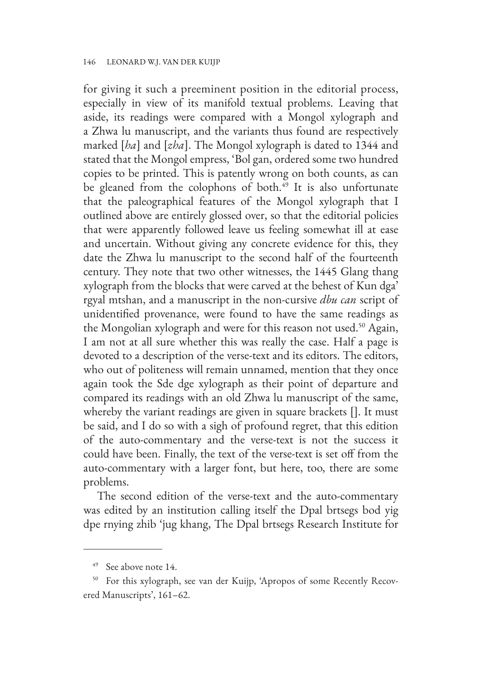for giving it such a preeminent position in the editorial process, especially in view of its manifold textual problems. Leaving that aside, its readings were compared with a Mongol xylograph and a Zhwa lu manuscript, and the variants thus found are respectively marked [*ha*] and [*zha*]. The Mongol xylograph is dated to 1344 and stated that the Mongol empress, 'Bol gan, ordered some two hundred copies to be printed. This is patently wrong on both counts, as can be gleaned from the colophons of both.<sup>49</sup> It is also unfortunate that the paleographical features of the Mongol xylograph that I outlined above are entirely glossed over, so that the editorial policies that were apparently followed leave us feeling somewhat ill at ease and uncertain. Without giving any concrete evidence for this, they date the Zhwa lu manuscript to the second half of the fourteenth century. They note that two other witnesses, the 1445 Glang thang xylograph from the blocks that were carved at the behest of Kun dga' rgyal mtshan, and a manuscript in the non-cursive *dbu can* script of unidentified provenance, were found to have the same readings as the Mongolian xylograph and were for this reason not used.<sup>50</sup> Again, I am not at all sure whether this was really the case. Half a page is devoted to a description of the verse-text and its editors. The editors, who out of politeness will remain unnamed, mention that they once again took the Sde dge xylograph as their point of departure and compared its readings with an old Zhwa lu manuscript of the same, whereby the variant readings are given in square brackets []. It must be said, and I do so with a sigh of profound regret, that this edition of the auto-commentary and the verse-text is not the success it could have been. Finally, the text of the verse-text is set off from the auto-commentary with a larger font, but here, too, there are some problems.

The second edition of the verse-text and the auto-commentary was edited by an institution calling itself the Dpal brtsegs bod yig dpe rnying zhib 'jug khang, The Dpal brtsegs Research Institute for

<sup>49</sup> See above note 14.

<sup>50</sup> For this xylograph, see van der Kuijp, 'Apropos of some Recently Recovered Manuscripts', 161–62.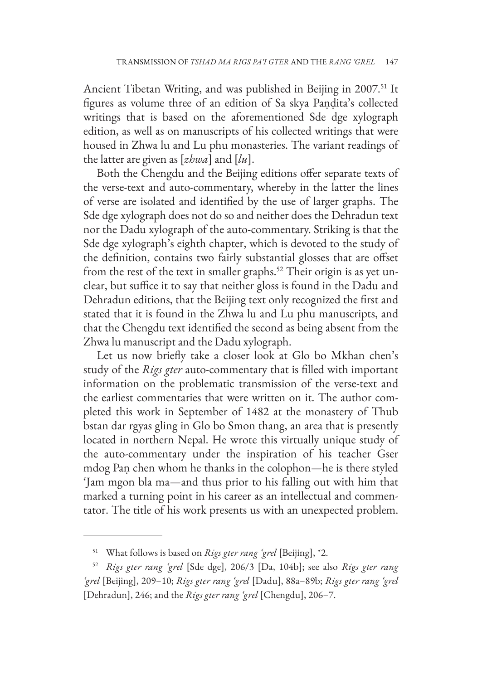Ancient Tibetan Writing, and was published in Beijing in 2007.<sup>51</sup> It figures as volume three of an edition of Sa skya Paṇḍita's collected writings that is based on the aforementioned Sde dge xylograph edition, as well as on manuscripts of his collected writings that were housed in Zhwa lu and Lu phu monasteries. The variant readings of the latter are given as [*zhwa*] and [*lu*].

Both the Chengdu and the Beijing editions offer separate texts of the verse-text and auto-commentary, whereby in the latter the lines of verse are isolated and identified by the use of larger graphs. The Sde dge xylograph does not do so and neither does the Dehradun text nor the Dadu xylograph of the auto-commentary. Striking is that the Sde dge xylograph's eighth chapter, which is devoted to the study of the definition, contains two fairly substantial glosses that are offset from the rest of the text in smaller graphs.<sup>52</sup> Their origin is as yet unclear, but suffice it to say that neither gloss is found in the Dadu and Dehradun editions, that the Beijing text only recognized the first and stated that it is found in the Zhwa lu and Lu phu manuscripts, and that the Chengdu text identified the second as being absent from the Zhwa lu manuscript and the Dadu xylograph.

Let us now briefly take a closer look at Glo bo Mkhan chen's study of the *Rigs gter* auto-commentary that is filled with important information on the problematic transmission of the verse-text and the earliest commentaries that were written on it. The author completed this work in September of 1482 at the monastery of Thub bstan dar rgyas gling in Glo bo Smon thang, an area that is presently located in northern Nepal. He wrote this virtually unique study of the auto-commentary under the inspiration of his teacher Gser mdog Paṇ chen whom he thanks in the colophon—he is there styled 'Jam mgon bla ma—and thus prior to his falling out with him that marked a turning point in his career as an intellectual and commentator. The title of his work presents us with an unexpected problem.

<sup>51</sup> What follows is based on *Rigs gter rang 'grel* [Beijing], \*2.

<sup>52</sup> *Rigs gter rang 'grel* [Sde dge], 206/3 [Da, 104b]; see also *Rigs gter rang 'grel* [Beijing], 209–10; *Rigs gter rang 'grel* [Dadu], 88a–89b; *Rigs gter rang 'grel* [Dehradun], 246; and the *Rigs gter rang 'grel* [Chengdu], 206–7.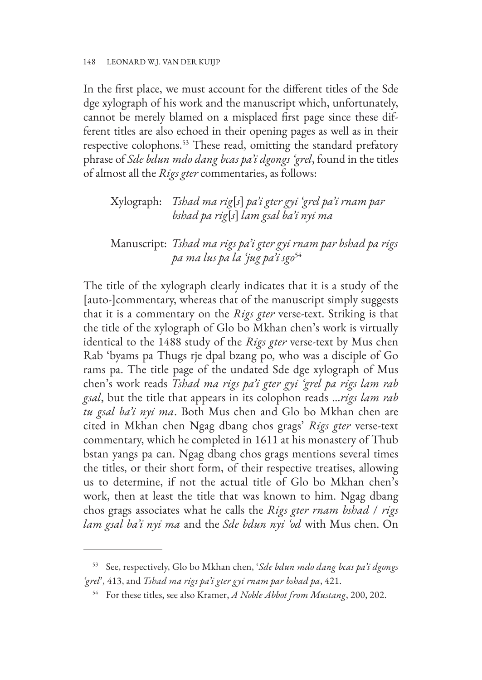In the first place, we must account for the different titles of the Sde dge xylograph of his work and the manuscript which, unfortunately, cannot be merely blamed on a misplaced first page since these different titles are also echoed in their opening pages as well as in their respective colophons.<sup>53</sup> These read, omitting the standard prefatory phrase of *Sde bdun mdo dang bcas pa'i dgongs 'grel*, found in the titles of almost all the *Rigs gter* commentaries, as follows:

# Xylograph: *Tshad ma rig*[*s*] *pa'i gter gyi 'grel pa'i rnam par bshad pa rig*[*s*] *lam gsal ba'i nyi ma*

# Manuscript: *Tshad ma rigs pa'i gter gyi rnam par bshad pa rigs pa ma lus pa la 'jug pa'i sgo*<sup>54</sup>

The title of the xylograph clearly indicates that it is a study of the [auto-]commentary, whereas that of the manuscript simply suggests that it is a commentary on the *Rigs gter* verse-text. Striking is that the title of the xylograph of Glo bo Mkhan chen's work is virtually identical to the 1488 study of the *Rigs gter* verse-text by Mus chen Rab 'byams pa Thugs rje dpal bzang po, who was a disciple of Go rams pa. The title page of the undated Sde dge xylograph of Mus chen's work reads *Tshad ma rigs pa'i gter gyi 'grel pa rigs lam rab gsal*, but the title that appears in its colophon reads …*rigs lam rab tu gsal ba'i nyi ma*. Both Mus chen and Glo bo Mkhan chen are cited in Mkhan chen Ngag dbang chos grags' *Rigs gter* verse-text commentary, which he completed in 1611 at his monastery of Thub bstan yangs pa can. Ngag dbang chos grags mentions several times the titles, or their short form, of their respective treatises, allowing us to determine, if not the actual title of Glo bo Mkhan chen's work, then at least the title that was known to him. Ngag dbang chos grags associates what he calls the *Rigs gter rnam bshad* / *rigs lam gsal ba'i nyi ma* and the *Sde bdun nyi 'od* with Mus chen. On

<sup>53</sup> See, respectively, Glo bo Mkhan chen, '*Sde bdun mdo dang bcas pa'i dgongs 'grel*', 413, and *Tshad ma rigs pa'i gter gyi rnam par bshad pa*, 421.

<sup>54</sup> For these titles, see also Kramer, *A Noble Abbot from Mustang*, 200, 202.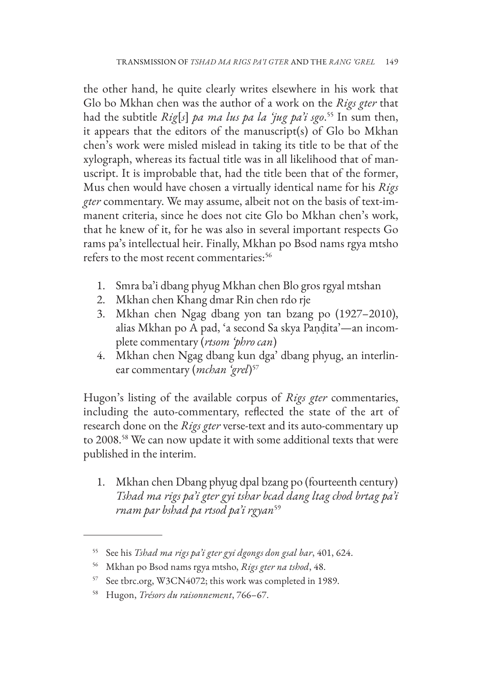the other hand, he quite clearly writes elsewhere in his work that Glo bo Mkhan chen was the author of a work on the *Rigs gter* that had the subtitle *Rig*[*s*] *pa ma lus pa la 'jug pa'i sgo*. 55 In sum then, it appears that the editors of the manuscript(s) of Glo bo Mkhan chen's work were misled mislead in taking its title to be that of the xylograph, whereas its factual title was in all likelihood that of manuscript. It is improbable that, had the title been that of the former, Mus chen would have chosen a virtually identical name for his *Rigs gter* commentary. We may assume, albeit not on the basis of text-immanent criteria, since he does not cite Glo bo Mkhan chen's work, that he knew of it, for he was also in several important respects Go rams pa's intellectual heir. Finally, Mkhan po Bsod nams rgya mtsho refers to the most recent commentaries:<sup>56</sup>

- 1. Smra ba'i dbang phyug Mkhan chen Blo gros rgyal mtshan
- 2. Mkhan chen Khang dmar Rin chen rdo rje
- 3. Mkhan chen Ngag dbang yon tan bzang po (1927–2010), alias Mkhan po A pad, 'a second Sa skya Paṇḍita'—an incomplete commentary (*rtsom 'phro can*)
- 4. Mkhan chen Ngag dbang kun dga' dbang phyug, an interlinear commentary (*mchan 'grel*) 57

Hugon's listing of the available corpus of *Rigs gter* commentaries, including the auto-commentary, reflected the state of the art of research done on the *Rigs gter* verse-text and its auto-commentary up to 2008.58 We can now update it with some additional texts that were published in the interim.

1. Mkhan chen Dbang phyug dpal bzang po (fourteenth century) *Tshad ma rigs pa'i gter gyi tshar bcad dang ltag chod brtag pa'i rnam par bshad pa rtsod pa'i rgyan*<sup>59</sup>

<sup>55</sup> See his *Tshad ma rigs pa'i gter gyi dgongs don gsal bar*, 401, 624.

<sup>56</sup> Mkhan po Bsod nams rgya mtsho, *Rigs gter na tshod*, 48.

<sup>57</sup> See tbrc.org, W3CN4072; this work was completed in 1989.

<sup>58</sup> Hugon, *Trésors du raisonnement*, 766–67.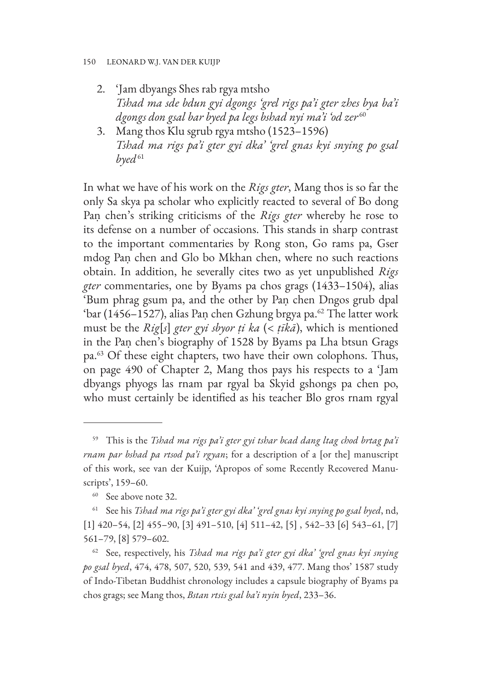#### 150 LEONARD W.J. VAN DER KUIJP

- 2. 'Jam dbyangs Shes rab rgya mtsho *Tshad ma sde bdun gyi dgongs 'grel rigs pa'i gter zhes bya ba'i dgongs don gsal bar byed pa legs bshad nyi ma'i 'od zer* <sup>60</sup>
- 3. Mang thos Klu sgrub rgya mtsho (1523–1596) *Tshad ma rigs pa'i gter gyi dka' 'grel gnas kyi snying po gsal*   $b$ *yed*<sup>61</sup>

In what we have of his work on the *Rigs gter*, Mang thos is so far the only Sa skya pa scholar who explicitly reacted to several of Bo dong Paṇ chen's striking criticisms of the *Rigs gter* whereby he rose to its defense on a number of occasions. This stands in sharp contrast to the important commentaries by Rong ston, Go rams pa, Gser mdog Paṇ chen and Glo bo Mkhan chen, where no such reactions obtain. In addition, he severally cites two as yet unpublished *Rigs gter* commentaries, one by Byams pa chos grags (1433–1504), alias 'Bum phrag gsum pa, and the other by Paṇ chen Dngos grub dpal 'bar (1456–1527), alias Paṇ chen Gzhung brgya pa.<sup>62</sup> The latter work must be the *Rig*[*s*] *gter gyi sbyor ṭi ka* (< *ṭīkā*), which is mentioned in the Paṇ chen's biography of 1528 by Byams pa Lha btsun Grags pa.63 Of these eight chapters, two have their own colophons. Thus, on page 490 of Chapter 2, Mang thos pays his respects to a 'Jam dbyangs phyogs las rnam par rgyal ba Skyid gshongs pa chen po, who must certainly be identified as his teacher Blo gros rnam rgyal

<sup>59</sup> This is the *Tshad ma rigs pa'i gter gyi tshar bcad dang ltag chod brtag pa'i rnam par bshad pa rtsod pa'i rgyan*; for a description of a [or the] manuscript of this work, see van der Kuijp, 'Apropos of some Recently Recovered Manuscripts', 159–60.

<sup>&</sup>lt;sup>60</sup> See above note 32.

<sup>61</sup> See his *Tshad ma rigs pa'i gter gyi dka' 'grel gnas kyi snying po gsal byed*, nd, [1] 420–54, [2] 455–90, [3] 491–510, [4] 511–42, [5] , 542–33 [6] 543–61, [7] 561–79, [8] 579–602.

<sup>62</sup> See, respectively, his *Tshad ma rigs pa'i gter gyi dka' 'grel gnas kyi snying po gsal byed*, 474, 478, 507, 520, 539, 541 and 439, 477. Mang thos' 1587 study of Indo-Tibetan Buddhist chronology includes a capsule biography of Byams pa chos grags; see Mang thos, *Bstan rtsis gsal ba'i nyin byed*, 233–36.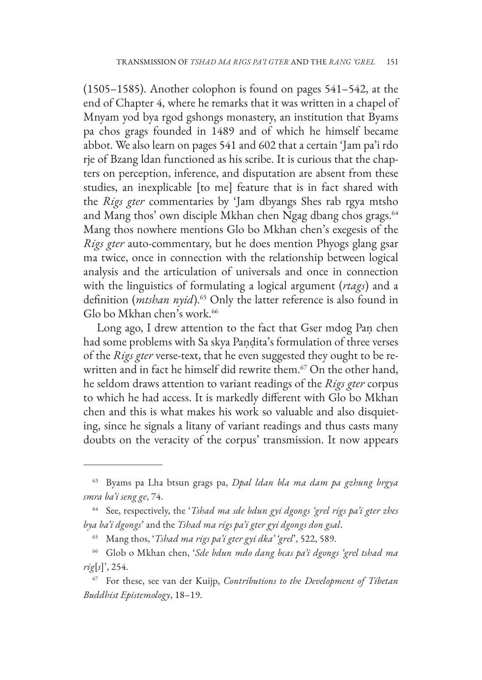(1505–1585). Another colophon is found on pages 541–542, at the end of Chapter 4, where he remarks that it was written in a chapel of Mnyam yod bya rgod gshongs monastery, an institution that Byams pa chos grags founded in 1489 and of which he himself became abbot. We also learn on pages 541 and 602 that a certain 'Jam pa'i rdo rje of Bzang ldan functioned as his scribe. It is curious that the chapters on perception, inference, and disputation are absent from these studies, an inexplicable [to me] feature that is in fact shared with the *Rigs gter* commentaries by 'Jam dbyangs Shes rab rgya mtsho and Mang thos' own disciple Mkhan chen Ngag dbang chos grags.<sup>64</sup> Mang thos nowhere mentions Glo bo Mkhan chen's exegesis of the *Rigs gter* auto-commentary, but he does mention Phyogs glang gsar ma twice, once in connection with the relationship between logical analysis and the articulation of universals and once in connection with the linguistics of formulating a logical argument (*rtags*) and a definition (*mtshan nyid*).65 Only the latter reference is also found in Glo bo Mkhan chen's work.<sup>66</sup>

Long ago, I drew attention to the fact that Gser mdog Pan chen had some problems with Sa skya Paṇḍita's formulation of three verses of the *Rigs gter* verse-text, that he even suggested they ought to be rewritten and in fact he himself did rewrite them.<sup>67</sup> On the other hand, he seldom draws attention to variant readings of the *Rigs gter* corpus to which he had access. It is markedly different with Glo bo Mkhan chen and this is what makes his work so valuable and also disquieting, since he signals a litany of variant readings and thus casts many doubts on the veracity of the corpus' transmission. It now appears

<sup>63</sup> Byams pa Lha btsun grags pa, *Dpal ldan bla ma dam pa gzhung brgya smra ba'i seng ge*, 74.

<sup>64</sup> See, respectively, the '*Tshad ma sde bdun gyi dgongs 'grel rigs pa'i gter zhes bya ba'i dgongs*' and the *Tshad ma rigs pa'i gter gyi dgongs don gsal*.

<sup>65</sup> Mang thos, '*Tshad ma rigs pa'i gter gyi dka' 'grel*', 522, 589.

<sup>66</sup> Glob o Mkhan chen, '*Sde bdun mdo dang bcas pa'i dgongs 'grel tshad ma rig*[*s*]', 254.

<sup>67</sup> For these, see van der Kuijp, *Contributions to the Development of Tibetan Buddhist Epistemology*, 18–19.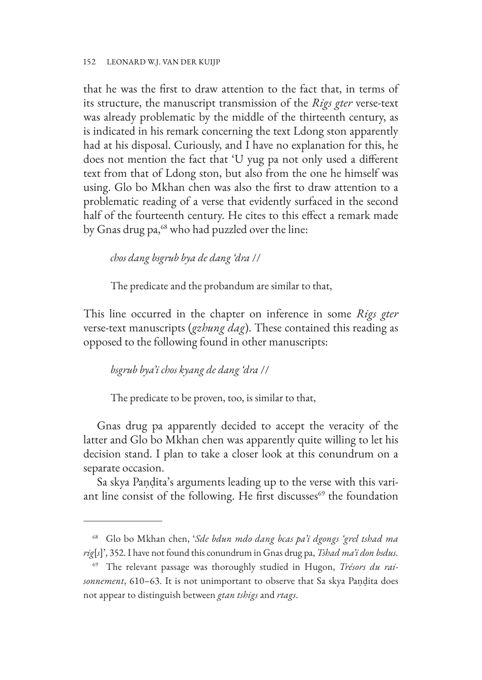that he was the first to draw attention to the fact that, in terms of its structure, the manuscript transmission of the *Rigs gter* verse-text was already problematic by the middle of the thirteenth century, as is indicated in his remark concerning the text Ldong ston apparently had at his disposal. Curiously, and I have no explanation for this, he does not mention the fact that 'U yug pa not only used a different text from that of Ldong ston, but also from the one he himself was using. Glo bo Mkhan chen was also the first to draw attention to a problematic reading of a verse that evidently surfaced in the second half of the fourteenth century. He cites to this effect a remark made by Gnas drug pa,<sup>68</sup> who had puzzled over the line:

*chos dang bsgrub bya de dang 'dra* //

The predicate and the probandum are similar to that,

This line occurred in the chapter on inference in some *Rigs gter* verse-text manuscripts (*gzhung dag*). These contained this reading as opposed to the following found in other manuscripts:

### *bsgrub bya'i chos kyang de dang 'dra* //

The predicate to be proven, too, is similar to that,

Gnas drug pa apparently decided to accept the veracity of the latter and Glo bo Mkhan chen was apparently quite willing to let his decision stand. I plan to take a closer look at this conundrum on a separate occasion.

Sa skya Paṇḍita's arguments leading up to the verse with this variant line consist of the following. He first discusses $69$  the foundation

<sup>68</sup> Glo bo Mkhan chen, '*Sde bdun mdo dang bcas pa'i dgongs 'grel tshad ma rig*[*s*]', 352. I have not found this conundrum in Gnas drug pa, *Tshad ma'i don bsdus*.

<sup>69</sup> The relevant passage was thoroughly studied in Hugon, *Trésors du raisonnement*, 610–63. It is not unimportant to observe that Sa skya Paṇḍita does not appear to distinguish between *gtan tshigs* and *rtags*.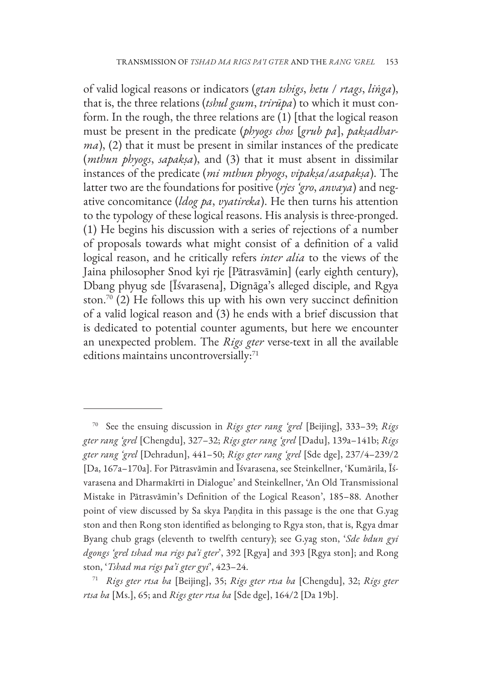of valid logical reasons or indicators (*gtan tshigs*, *hetu* / *rtags*, *liṅga*), that is, the three relations (*tshul gsum*, *trirūpa*) to which it must conform. In the rough, the three relations are (1) [that the logical reason must be present in the predicate (*phyogs chos* [*grub pa*], *pakṣadharma*), (2) that it must be present in similar instances of the predicate (*mthun phyogs*, *sapakṣa*), and (3) that it must absent in dissimilar instances of the predicate (*mi mthun phyogs*, *vipakṣa*/*asapakṣa*). The latter two are the foundations for positive (*rjes 'gro*, *anvaya*) and negative concomitance (*ldog pa*, *vyatireka*). He then turns his attention to the typology of these logical reasons. His analysis is three-pronged. (1) He begins his discussion with a series of rejections of a number of proposals towards what might consist of a definition of a valid logical reason, and he critically refers *inter alia* to the views of the Jaina philosopher Snod kyi rje [Pātrasvāmin] (early eighth century), Dbang phyug sde [Īśvarasena], Dignāga's alleged disciple, and Rgya ston.<sup>70</sup> (2) He follows this up with his own very succinct definition of a valid logical reason and (3) he ends with a brief discussion that is dedicated to potential counter aguments, but here we encounter an unexpected problem. The *Rigs gter* verse-text in all the available editions maintains uncontroversially:<sup>71</sup>

<sup>70</sup> See the ensuing discussion in *Rigs gter rang 'grel* [Beijing], 333–39; *Rigs gter rang 'grel* [Chengdu], 327–32; *Rigs gter rang 'grel* [Dadu], 139a–141b; *Rigs gter rang 'grel* [Dehradun], 441–50; *Rigs gter rang 'grel* [Sde dge], 237/4–239/2 [Da, 167a–170a]. For Pātrasvāmin and Īśvarasena, see Steinkellner, 'Kumārila, Īśvarasena and Dharmakīrti in Dialogue' and Steinkellner, 'An Old Transmissional Mistake in Pātrasvāmin's Definition of the Logical Reason', 185–88. Another point of view discussed by Sa skya Paṇḍita in this passage is the one that G.yag ston and then Rong ston identified as belonging to Rgya ston, that is, Rgya dmar Byang chub grags (eleventh to twelfth century); see G.yag ston, '*Sde bdun gyi dgongs 'grel tshad ma rigs pa'i gter*', 392 [Rgya] and 393 [Rgya ston]; and Rong ston, '*Tshad ma rigs pa'i gter gyi*', 423–24.

<sup>71</sup> *Rigs gter rtsa ba* [Beijing], 35; *Rigs gter rtsa ba* [Chengdu], 32; *Rigs gter rtsa ba* [Ms.], 65; and *Rigs gter rtsa ba* [Sde dge], 164/2 [Da 19b].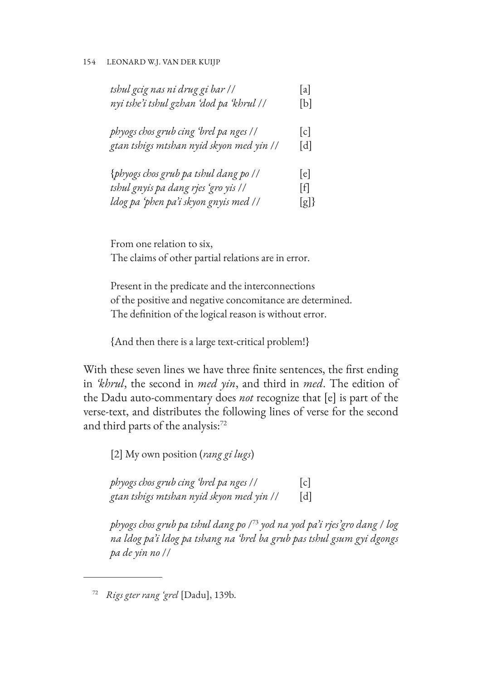| tshul gcig nas ni drug gi bar //         | a   |
|------------------------------------------|-----|
| nyi tshe'i tshul gzhan ʻdod pa ʻkhrul // | b   |
| phyogs chos grub cing 'brel pa nges //   | c   |
| gtan tshigs mtshan nyid skyon med yin // | d   |
| {phyogs chos grub pa tshul dang po //    | [e] |
| tshul gnyis pa dang rjes 'gro yis //     | [f] |
| ldog pa 'phen pa'i skyon gnyis med //    | [g] |

From one relation to six, The claims of other partial relations are in error.

Present in the predicate and the interconnections of the positive and negative concomitance are determined. The definition of the logical reason is without error.

{And then there is a large text-critical problem!}

With these seven lines we have three finite sentences, the first ending in *'khrul*, the second in *med yin*, and third in *med*. The edition of the Dadu auto-commentary does *not* recognize that [e] is part of the verse-text, and distributes the following lines of verse for the second and third parts of the analysis:<sup>72</sup>

[2] My own position (*rang gi lugs*)

*phyogs chos grub cing 'brel pa nges* // [c] *gtan tshigs mtshan nyid skyon med yin* // [d]

*phyogs chos grub pa tshul dang po* /73 *yod na yod pa'i rjes'gro dang* / *log na ldog pa'i ldog pa tshang na 'brel ba grub pas tshul gsum gyi dgongs pa de yin no* //

<sup>72</sup> *Rigs gter rang 'grel* [Dadu], 139b.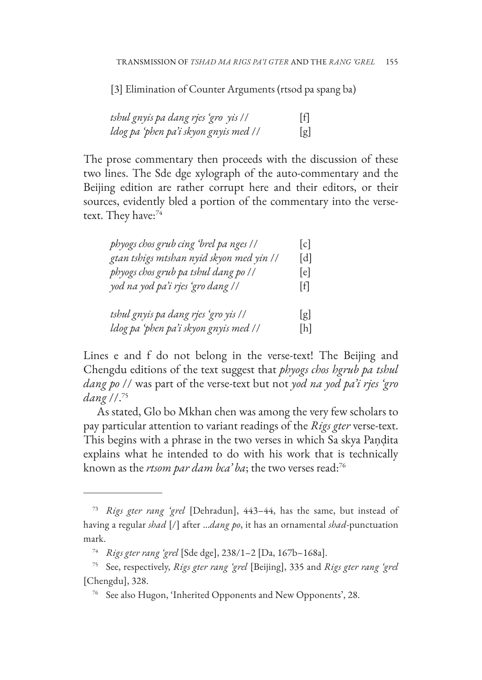[3] Elimination of Counter Arguments (rtsod pa spang ba)

| tshul gnyis pa dang rjes 'gro yis //  | [f] |
|---------------------------------------|-----|
| ldog pa 'phen pa'i skyon gnyis med // | [g] |

The prose commentary then proceeds with the discussion of these two lines. The Sde dge xylograph of the auto-commentary and the Beijing edition are rather corrupt here and their editors, or their sources, evidently bled a portion of the commentary into the versetext. They have:<sup>74</sup>

| phyogs chos grub cing 'brel pa nges //   | c   |
|------------------------------------------|-----|
| gtan tshigs mtshan nyid skyon med yin // | d   |
| phyogs chos grub pa tshul dang po //     | e   |
| yod na yod pa'i rjes 'gro dang //        | ltl |
| tshul gnyis pa dang rjes 'gro yis //     | [g] |
| ldog pa 'phen pa'i skyon gnyis med //    | h   |

Lines e and f do not belong in the verse-text! The Beijing and Chengdu editions of the text suggest that *phyogs chos hgrub pa tshul dang po* // was part of the verse-text but not *yod na yod pa'i rjes 'gro dang* //.75

As stated, Glo bo Mkhan chen was among the very few scholars to pay particular attention to variant readings of the *Rigs gter* verse-text. This begins with a phrase in the two verses in which Sa skya Paṇḍita explains what he intended to do with his work that is technically known as the *rtsom par dam bca' ba*; the two verses read:76

<sup>73</sup> *Rigs gter rang 'grel* [Dehradun], 443–44, has the same, but instead of having a regular *shad* [/] after …*dang po*, it has an ornamental *shad*-punctuation mark.

<sup>74</sup> *Rigs gter rang 'grel* [Sde dge], 238/1–2 [Da, 167b–168a].

<sup>75</sup> See, respectively, *Rigs gter rang 'grel* [Beijing], 335 and *Rigs gter rang 'grel* [Chengdu], 328.

<sup>76</sup> See also Hugon, 'Inherited Opponents and New Opponents', 28.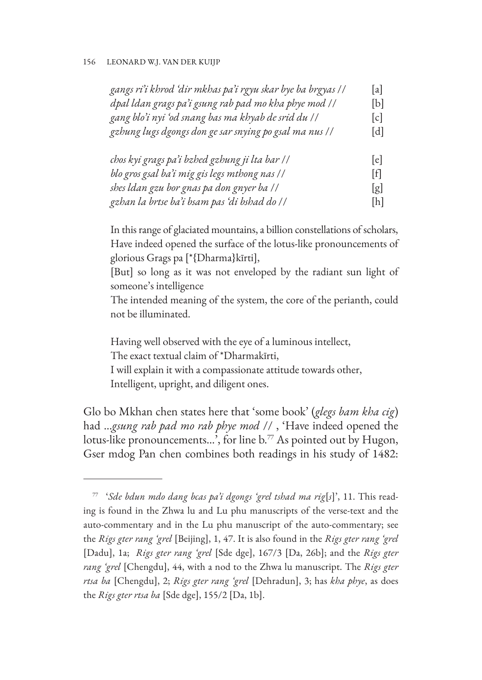| gangs ri'i khrod 'dir mkhas pa'i rgyu skar bye ba brgyas // | a   |
|-------------------------------------------------------------|-----|
| dpal ldan grags pa'i gsung rab pad mo kha phye mod //       | [b] |
| gang blo'i nyi 'od snang bas ma khyab de srid du //         | c   |
| gzhung lugs dgongs don ge sar snying po gsal ma nus //      | [d] |

| chos kyi grags pa'i bzhed gzhung ji lta bar // | e   |
|------------------------------------------------|-----|
| blo gros gsal ba'i mig gis legs mthong nas //  | ΙfΙ |
| shes ldan gzu bor gnas pa don gnyer ba //      | [g] |
| gzhan la brtse ba'i bsam pas 'di bshad do //   | [h] |

In this range of glaciated mountains, a billion constellations of scholars, Have indeed opened the surface of the lotus-like pronouncements of glorious Grags pa [\*{Dharma}kīrti],

[But] so long as it was not enveloped by the radiant sun light of someone's intelligence

The intended meaning of the system, the core of the perianth, could not be illuminated.

Having well observed with the eye of a luminous intellect, The exact textual claim of \*Dharmakīrti, I will explain it with a compassionate attitude towards other, Intelligent, upright, and diligent ones.

Glo bo Mkhan chen states here that 'some book' (*glegs bam kha cig*) had …*gsung rab pad mo rab phye mod* // , 'Have indeed opened the lotus-like pronouncements...<sup>5</sup>, for line b.<sup>77</sup> As pointed out by Hugon, Gser mdog Pan chen combines both readings in his study of 1482:

<sup>77</sup> '*Sde bdun mdo dang bcas pa'i dgongs 'grel tshad ma rig*[*s*]', 11. This reading is found in the Zhwa lu and Lu phu manuscripts of the verse-text and the auto-commentary and in the Lu phu manuscript of the auto-commentary; see the *Rigs gter rang 'grel* [Beijing], 1, 47. It is also found in the *Rigs gter rang 'grel* [Dadu], 1a; *Rigs gter rang 'grel* [Sde dge], 167/3 [Da, 26b]; and the *Rigs gter rang 'grel* [Chengdu], 44, with a nod to the Zhwa lu manuscript. The *Rigs gter rtsa ba* [Chengdu], 2; *Rigs gter rang 'grel* [Dehradun], 3; has *kha phye*, as does the *Rigs gter rtsa ba* [Sde dge], 155/2 [Da, 1b].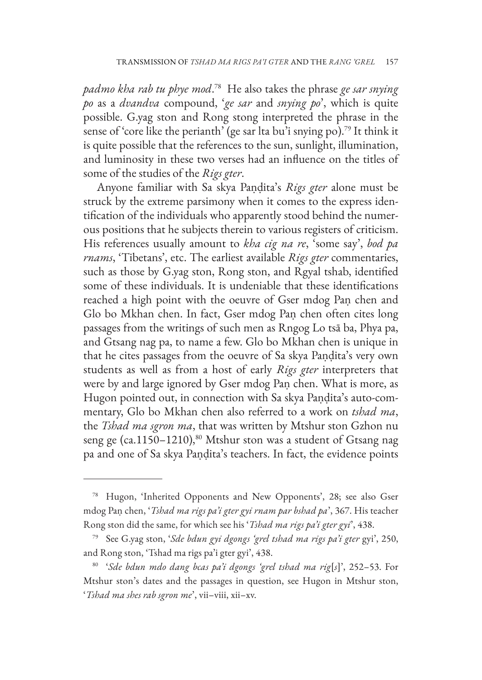*padmo kha rab tu phye mod*. 78 He also takes the phrase *ge sar snying po* as a *dvandva* compound, '*ge sar* and *snying po*', which is quite possible. G.yag ston and Rong stong interpreted the phrase in the sense of 'core like the perianth' (ge sar lta bu'i snying po).79 It think it is quite possible that the references to the sun, sunlight, illumination, and luminosity in these two verses had an influence on the titles of some of the studies of the *Rigs gter*.

Anyone familiar with Sa skya Paṇḍita's *Rigs gter* alone must be struck by the extreme parsimony when it comes to the express identification of the individuals who apparently stood behind the numerous positions that he subjects therein to various registers of criticism. His references usually amount to *kha cig na re*, 'some say', *bod pa rnams*, 'Tibetans', etc. The earliest available *Rigs gter* commentaries, such as those by G.yag ston, Rong ston, and Rgyal tshab, identified some of these individuals. It is undeniable that these identifications reached a high point with the oeuvre of Gser mdog Paṇ chen and Glo bo Mkhan chen. In fact, Gser mdog Paṇ chen often cites long passages from the writings of such men as Rngog Lo tsā ba, Phya pa, and Gtsang nag pa, to name a few. Glo bo Mkhan chen is unique in that he cites passages from the oeuvre of Sa skya Paṇḍita's very own students as well as from a host of early *Rigs gter* interpreters that were by and large ignored by Gser mdog Paṇ chen. What is more, as Hugon pointed out, in connection with Sa skya Paṇḍita's auto-commentary, Glo bo Mkhan chen also referred to a work on *tshad ma*, the *Tshad ma sgron ma*, that was written by Mtshur ston Gzhon nu seng ge (ca.1150-1210),<sup>80</sup> Mtshur ston was a student of Gtsang nag pa and one of Sa skya Paṇḍita's teachers. In fact, the evidence points

<sup>78</sup> Hugon, 'Inherited Opponents and New Opponents', 28; see also Gser mdog Paṇ chen, '*Tshad ma rigs pa'i gter gyi rnam par bshad pa*', 367. His teacher Rong ston did the same, for which see his '*Tshad ma rigs pa'i gter gyi*', 438.

<sup>79</sup> See G.yag ston, '*Sde bdun gyi dgongs 'grel tshad ma rigs pa'i gter* gyi', 250, and Rong ston, 'Tshad ma rigs pa'i gter gyi', 438.

<sup>80</sup> '*Sde bdun mdo dang bcas pa'i dgongs 'grel tshad ma rig*[*s*]', 252–53. For Mtshur ston's dates and the passages in question, see Hugon in Mtshur ston, '*Tshad ma shes rab sgron me*', vii–viii, xii–xv.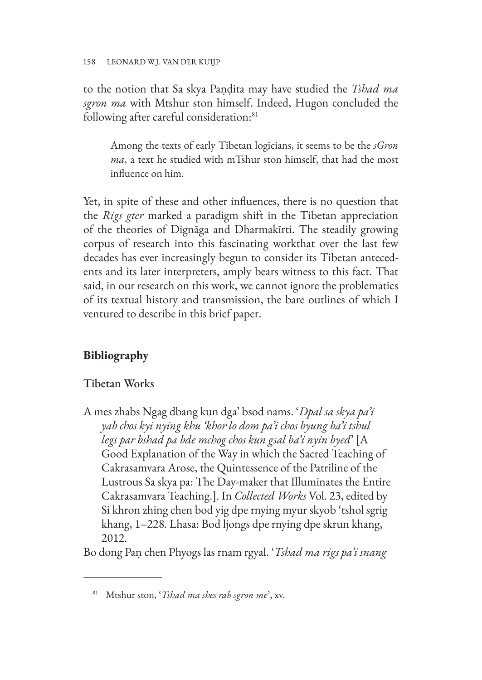to the notion that Sa skya Paṇḍita may have studied the *Tshad ma sgron ma* with Mtshur ston himself. Indeed, Hugon concluded the following after careful consideration:<sup>81</sup>

Among the texts of early Tibetan logicians, it seems to be the *sGron ma*, a text he studied with mTshur ston himself, that had the most influence on him.

Yet, in spite of these and other influences, there is no question that the *Rigs gter* marked a paradigm shift in the Tibetan appreciation of the theories of Dignāga and Dharmakīrti. The steadily growing corpus of research into this fascinating workthat over the last few decades has ever increasingly begun to consider its Tibetan antecedents and its later interpreters, amply bears witness to this fact. That said, in our research on this work, we cannot ignore the problematics of its textual history and transmission, the bare outlines of which I ventured to describe in this brief paper.

# **Bibliography**

# Tibetan Works

A mes zhabs Ngag dbang kun dga' bsod nams. '*Dpal sa skya pa'i yab chos kyi nying khu 'khor lo dom pa'i chos byung ba'i tshul legs par bshad pa bde mchog chos kun gsal ba'i nyin byed*' [A Good Explanation of the Way in which the Sacred Teaching of Cakrasamvara Arose, the Quintessence of the Patriline of the Lustrous Sa skya pa: The Day-maker that Illuminates the Entire Cakrasamvara Teaching.]. In *Collected Works* Vol. 23, edited by Si khron zhing chen bod yig dpe rnying myur skyob 'tshol sgrig khang, 1–228. Lhasa: Bod ljongs dpe rnying dpe skrun khang, 2012.

Bo dong Paṇ chen Phyogs las rnam rgyal. '*Tshad ma rigs pa'i snang* 

<sup>81</sup> Mtshur ston, '*Tshad ma shes rab sgron me*', xv.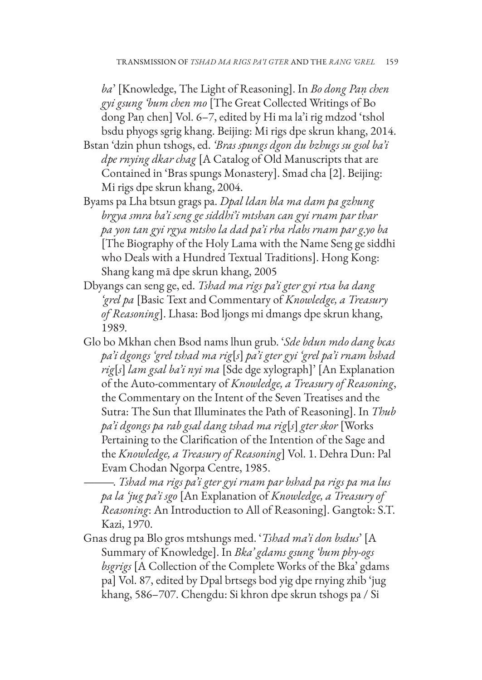*ba*' [Knowledge, The Light of Reasoning]. In *Bo dong Paṇ chen gyi gsung 'bum chen mo* [The Great Collected Writings of Bo dong Paṇ chen] Vol. 6–7, edited by Hi ma la'i rig mdzod 'tshol bsdu phyogs sgrig khang. Beijing: Mi rigs dpe skrun khang, 2014.

- Bstan 'dzin phun tshogs, ed. *'Bras spungs dgon du bzhugs su gsol ba'i dpe rnying dkar chag* [A Catalog of Old Manuscripts that are Contained in 'Bras spungs Monastery]. Smad cha [2]. Beijing: Mi rigs dpe skrun khang, 2004.
- Byams pa Lha btsun grags pa. *Dpal ldan bla ma dam pa gzhung brgya smra ba'i seng ge siddhi'i mtshan can gyi rnam par thar pa yon tan gyi rgya mtsho la dad pa'i rba rlabs rnam par g.yo ba* [The Biography of the Holy Lama with the Name Seng ge siddhi who Deals with a Hundred Textual Traditions]. Hong Kong: Shang kang mā dpe skrun khang, 2005
- Dbyangs can seng ge, ed. *Tshad ma rigs pa'i gter gyi rtsa ba dang 'grel pa* [Basic Text and Commentary of *Knowledge, a Treasury of Reasoning*]. Lhasa: Bod ljongs mi dmangs dpe skrun khang, 1989.
- Glo bo Mkhan chen Bsod nams lhun grub. '*Sde bdun mdo dang bcas pa'i dgongs 'grel tshad ma rig*[*s*] *pa'i gter gyi 'grel pa'i rnam bshad rig*[*s*] *lam gsal ba'i nyi ma* [Sde dge xylograph]' [An Explanation of the Auto-commentary of *Knowledge, a Treasury of Reasoning*, the Commentary on the Intent of the Seven Treatises and the Sutra: The Sun that Illuminates the Path of Reasoning]. In *Thub pa'i dgongs pa rab gsal dang tshad ma rig*[*s*] *gter skor* [Works Pertaining to the Clarification of the Intention of the Sage and the *Knowledge, a Treasury of Reasoning*] Vol. 1. Dehra Dun: Pal Evam Chodan Ngorpa Centre, 1985.
	- ———. *Tshad ma rigs pa'i gter gyi rnam par bshad pa rigs pa ma lus pa la 'jug pa'i sgo* [An Explanation of *Knowledge, a Treasury of Reasoning*: An Introduction to All of Reasoning]. Gangtok: S.T. Kazi, 1970.
- Gnas drug pa Blo gros mtshungs med. '*Tshad ma'i don bsdus*' [A Summary of Knowledge]. In *Bka' gdams gsung 'bum phy-ogs bsgrigs* [A Collection of the Complete Works of the Bka' gdams pa] Vol. 87, edited by Dpal brtsegs bod yig dpe rnying zhib 'jug khang, 586–707. Chengdu: Si khron dpe skrun tshogs pa / Si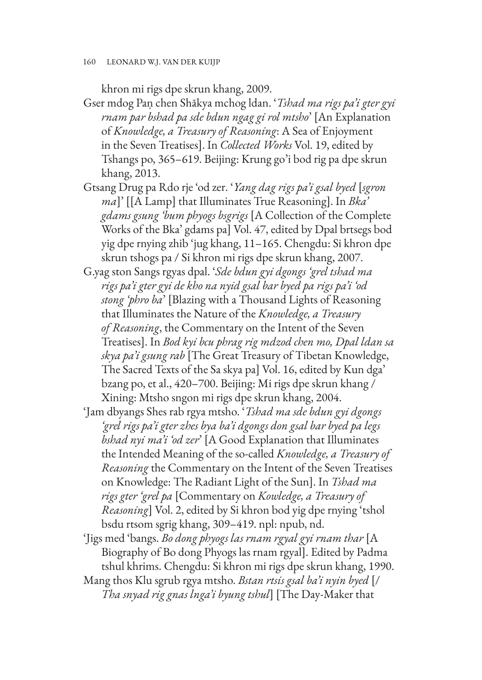khron mi rigs dpe skrun khang, 2009.

- Gser mdog Paṇ chen Shākya mchog ldan. '*Tshad ma rigs pa'i gter gyi rnam par bshad pa sde bdun ngag gi rol mtsho*' [An Explanation of *Knowledge, a Treasury of Reasoning*: A Sea of Enjoyment in the Seven Treatises]. In *Collected Works* Vol. 19, edited by Tshangs po, 365–619. Beijing: Krung go'i bod rig pa dpe skrun khang, 2013.
- Gtsang Drug pa Rdo rje 'od zer. '*Yang dag rigs pa'i gsal byed* [*sgron ma*]' [[A Lamp] that Illuminates True Reasoning]. In *Bka' gdams gsung 'bum phyogs bsgrigs* [A Collection of the Complete Works of the Bka' gdams pa] Vol. 47, edited by Dpal brtsegs bod yig dpe rnying zhib 'jug khang, 11–165. Chengdu: Si khron dpe skrun tshogs pa / Si khron mi rigs dpe skrun khang, 2007.
- G.yag ston Sangs rgyas dpal. '*Sde bdun gyi dgongs 'grel tshad ma rigs pa'i gter gyi de kho na nyid gsal bar byed pa rigs pa'i 'od stong 'phro ba*' [Blazing with a Thousand Lights of Reasoning that Illuminates the Nature of the *Knowledge, a Treasury of Reasoning*, the Commentary on the Intent of the Seven Treatises]. In *Bod kyi bcu phrag rig mdzod chen mo, Dpal ldan sa skya pa'i gsung rab* [The Great Treasury of Tibetan Knowledge, The Sacred Texts of the Sa skya pa] Vol. 16, edited by Kun dga' bzang po, et al., 420–700. Beijing: Mi rigs dpe skrun khang / Xining: Mtsho sngon mi rigs dpe skrun khang, 2004.
- 'Jam dbyangs Shes rab rgya mtsho. '*Tshad ma sde bdun gyi dgongs 'grel rigs pa'i gter zhes bya ba'i dgongs don gsal bar byed pa legs bshad nyi ma'i 'od zer*' [A Good Explanation that Illuminates the Intended Meaning of the so-called *Knowledge, a Treasury of Reasoning* the Commentary on the Intent of the Seven Treatises on Knowledge: The Radiant Light of the Sun]. In *Tshad ma rigs gter 'grel pa* [Commentary on *Kowledge, a Treasury of Reasoning*] Vol. 2, edited by Si khron bod yig dpe rnying 'tshol bsdu rtsom sgrig khang, 309–419. npl: npub, nd.
- 'Jigs med 'bangs. *Bo dong phyogs las rnam rgyal gyi rnam thar* [A Biography of Bo dong Phyogs las rnam rgyal]. Edited by Padma tshul khrims. Chengdu: Si khron mi rigs dpe skrun khang, 1990.
- Mang thos Klu sgrub rgya mtsho. *Bstan rtsis gsal ba'i nyin byed* [/ *Tha snyad rig gnas lnga'i byung tshul*] [The Day-Maker that

<sup>160</sup> LEONARD W.J. VAN DER KUIJP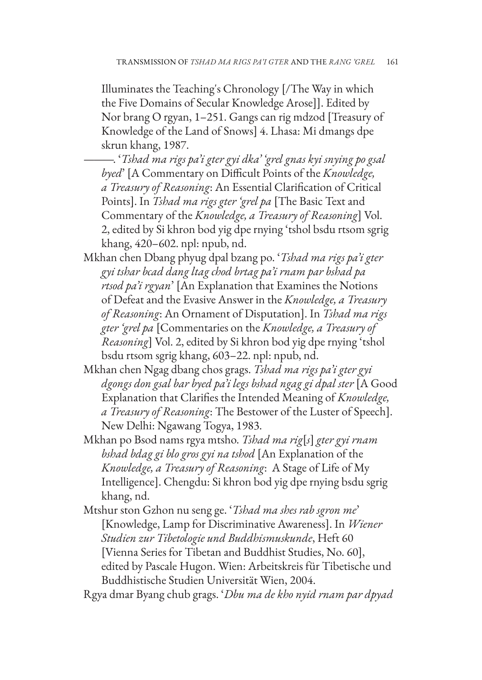Illuminates the Teaching's Chronology [/The Way in which the Five Domains of Secular Knowledge Arose]]. Edited by Nor brang O rgyan, 1–251. Gangs can rig mdzod [Treasury of Knowledge of the Land of Snows] 4. Lhasa: Mi dmangs dpe skrun khang, 1987.

- ———. '*Tshad ma rigs pa'i gter gyi dka' 'grel gnas kyi snying po gsal byed*' [A Commentary on Difficult Points of the *Knowledge, a Treasury of Reasoning*: An Essential Clarification of Critical Points]. In *Tshad ma rigs gter 'grel pa* [The Basic Text and Commentary of the *Knowledge, a Treasury of Reasoning*] Vol. 2, edited by Si khron bod yig dpe rnying 'tshol bsdu rtsom sgrig khang, 420–602. npl: npub, nd.
- Mkhan chen Dbang phyug dpal bzang po. '*Tshad ma rigs pa'i gter gyi tshar bcad dang ltag chod brtag pa'i rnam par bshad pa rtsod pa'i rgyan*' [An Explanation that Examines the Notions of Defeat and the Evasive Answer in the *Knowledge, a Treasury of Reasoning*: An Ornament of Disputation]. In *Tshad ma rigs gter 'grel pa* [Commentaries on the *Knowledge, a Treasury of Reasoning*] Vol. 2, edited by Si khron bod yig dpe rnying 'tshol bsdu rtsom sgrig khang, 603–22. npl: npub, nd.
- Mkhan chen Ngag dbang chos grags. *Tshad ma rigs pa'i gter gyi dgongs don gsal bar byed pa'i legs bshad ngag gi dpal ster* [A Good Explanation that Clarifies the Intended Meaning of *Knowledge, a Treasury of Reasoning*: The Bestower of the Luster of Speech]. New Delhi: Ngawang Togya, 1983.
- Mkhan po Bsod nams rgya mtsho. *Tshad ma rig*[*s*] *gter gyi rnam bshad bdag gi blo gros gyi na tshod* [An Explanation of the *Knowledge, a Treasury of Reasoning*: A Stage of Life of My Intelligence]. Chengdu: Si khron bod yig dpe rnying bsdu sgrig khang, nd.
- Mtshur ston Gzhon nu seng ge. '*Tshad ma shes rab sgron me*' [Knowledge, Lamp for Discriminative Awareness]. In *Wiener Studien zur Tibetologie und Buddhismuskunde*, Heft 60 [Vienna Series for Tibetan and Buddhist Studies, No. 60], edited by Pascale Hugon. Wien: Arbeitskreis für Tibetische und Buddhistische Studien Universität Wien, 2004.

Rgya dmar Byang chub grags. '*Dbu ma de kho nyid rnam par dpyad*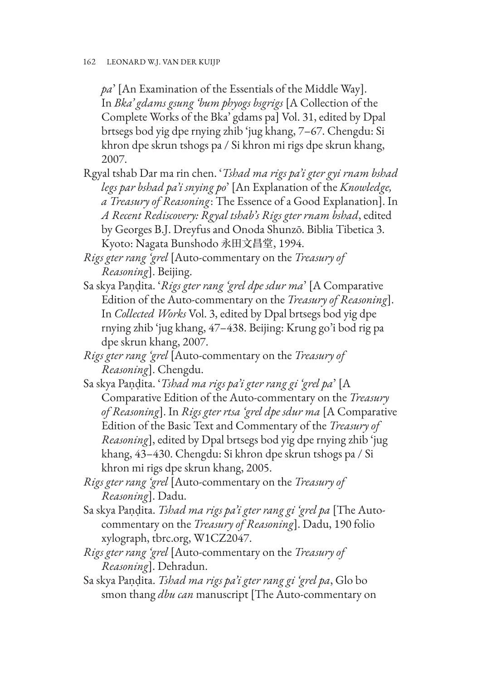*pa*' [An Examination of the Essentials of the Middle Way]. In *Bka' gdams gsung 'bum phyogs bsgrigs* [A Collection of the Complete Works of the Bka' gdams pa] Vol. 31, edited by Dpal brtsegs bod yig dpe rnying zhib 'jug khang, 7–67. Chengdu: Si khron dpe skrun tshogs pa / Si khron mi rigs dpe skrun khang, 2007.

- Rgyal tshab Dar ma rin chen. '*Tshad ma rigs pa'i gter gyi rnam bshad legs par bshad pa'i snying po*' [An Explanation of the *Knowledge, a Treasury of Reasoning*: The Essence of a Good Explanation]. In *A Recent Rediscovery: Rgyal tshab's Rigs gter rnam bshad*, edited by Georges B.J. Dreyfus and Onoda Shunzō. Biblia Tibetica 3. Kyoto: Nagata Bunshodo 永田文昌堂, 1994.
- *Rigs gter rang 'grel* [Auto-commentary on the *Treasury of Reasoning*]. Beijing.
- Sa skya Paṇḍita. '*Rigs gter rang 'grel dpe sdur ma*' [A Comparative Edition of the Auto-commentary on the *Treasury of Reasoning*]. In *Collected Works* Vol. 3, edited by Dpal brtsegs bod yig dpe rnying zhib 'jug khang, 47–438. Beijing: Krung go'i bod rig pa dpe skrun khang, 2007.
- *Rigs gter rang 'grel* [Auto-commentary on the *Treasury of Reasoning*]. Chengdu.
- Sa skya Paṇḍita. '*Tshad ma rigs pa'i gter rang gi 'grel pa*' [A Comparative Edition of the Auto-commentary on the *Treasury of Reasoning*]. In *Rigs gter rtsa 'grel dpe sdur ma* [A Comparative Edition of the Basic Text and Commentary of the *Treasury of Reasoning*], edited by Dpal brtsegs bod yig dpe rnying zhib 'jug khang, 43–430. Chengdu: Si khron dpe skrun tshogs pa / Si khron mi rigs dpe skrun khang, 2005.
- *Rigs gter rang 'grel* [Auto-commentary on the *Treasury of Reasoning*]. Dadu.
- Sa skya Paṇḍita. *Tshad ma rigs pa'i gter rang gi 'grel pa* [The Autocommentary on the *Treasury of Reasoning*]. Dadu, 190 folio xylograph, tbrc.org, W1CZ2047.
- *Rigs gter rang 'grel* [Auto-commentary on the *Treasury of Reasoning*]. Dehradun.
- Sa skya Paṇḍita. *Tshad ma rigs pa'i gter rang gi 'grel pa*, Glo bo smon thang *dbu can* manuscript [The Auto-commentary on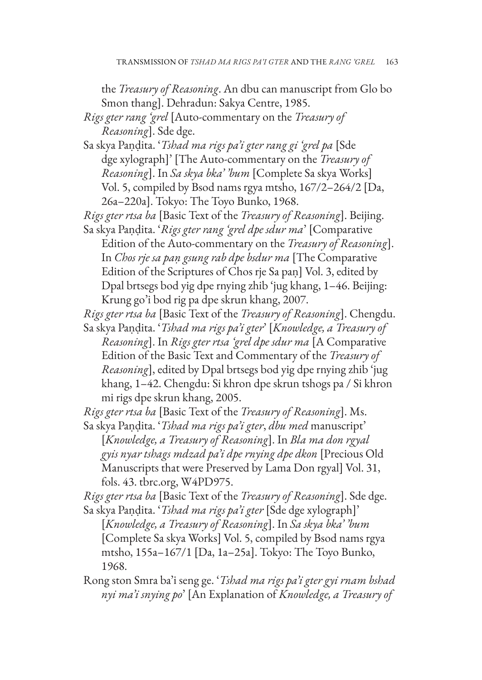the *Treasury of Reasoning*. An dbu can manuscript from Glo bo Smon thang]. Dehradun: Sakya Centre, 1985.

*Rigs gter rang 'grel* [Auto-commentary on the *Treasury of Reasoning*]. Sde dge.

Sa skya Paṇḍita. '*Tshad ma rigs pa'i gter rang gi 'grel pa* [Sde dge xylograph]' [The Auto-commentary on the *Treasury of Reasoning*]. In *Sa skya bka' 'bum* [Complete Sa skya Works] Vol. 5, compiled by Bsod nams rgya mtsho, 167/2–264/2 [Da, 26a–220a]. Tokyo: The Toyo Bunko, 1968.

*Rigs gter rtsa ba* [Basic Text of the *Treasury of Reasoning*]. Beijing.

Sa skya Paṇḍita. '*Rigs gter rang 'grel dpe sdur ma*' [Comparative Edition of the Auto-commentary on the *Treasury of Reasoning*]. In *Chos rje sa paṇ gsung rab dpe bsdur ma* [The Comparative Edition of the Scriptures of Chos rje Sa paṇ] Vol. 3, edited by Dpal brtsegs bod yig dpe rnying zhib 'jug khang, 1–46. Beijing: Krung go'i bod rig pa dpe skrun khang, 2007.

*Rigs gter rtsa ba* [Basic Text of the *Treasury of Reasoning*]. Chengdu. Sa skya Paṇḍita. '*Tshad ma rigs pa'i gter*' [*Knowledge, a Treasury of Reasoning*]. In *Rigs gter rtsa 'grel dpe sdur ma* [A Comparative Edition of the Basic Text and Commentary of the *Treasury of Reasoning*], edited by Dpal brtsegs bod yig dpe rnying zhib 'jug khang, 1–42. Chengdu: Si khron dpe skrun tshogs pa / Si khron

mi rigs dpe skrun khang, 2005.

*Rigs gter rtsa ba* [Basic Text of the *Treasury of Reasoning*]. Ms.

Sa skya Paṇḍita. '*Tshad ma rigs pa'i gter*, *dbu med* manuscript' [*Knowledge, a Treasury of Reasoning*]. In *Bla ma don rgyal gyis nyar tshags mdzad pa'i dpe rnying dpe dkon* [Precious Old Manuscripts that were Preserved by Lama Don rgyal] Vol. 31, fols. 43. tbrc.org, W4PD975.

*Rigs gter rtsa ba* [Basic Text of the *Treasury of Reasoning*]. Sde dge.

Sa skya Paṇḍita. '*Tshad ma rigs pa'i gter* [Sde dge xylograph]' [*Knowledge, a Treasury of Reasoning*]. In *Sa skya bka' 'bum* [Complete Sa skya Works] Vol. 5, compiled by Bsod nams rgya mtsho, 155a–167/1 [Da, 1a–25a]. Tokyo: The Toyo Bunko, 1968.

Rong ston Smra ba'i seng ge. '*Tshad ma rigs pa'i gter gyi rnam bshad nyi ma'i snying po*' [An Explanation of *Knowledge, a Treasury of*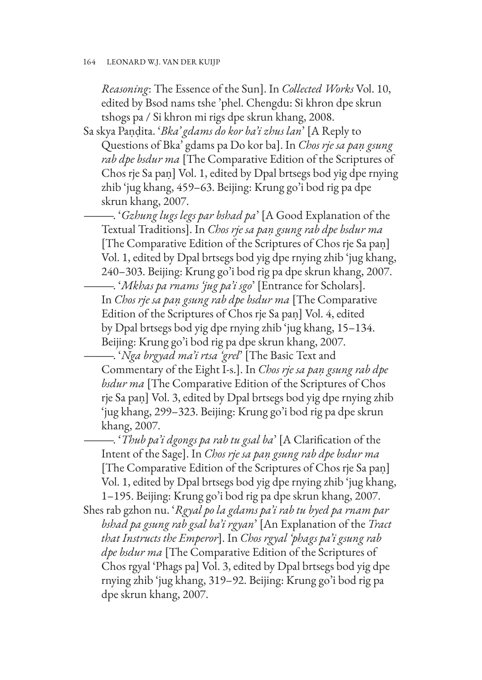*Reasoning*: The Essence of the Sun]. In *Collected Works* Vol. 10, edited by Bsod nams tshe 'phel. Chengdu: Si khron dpe skrun tshogs pa / Si khron mi rigs dpe skrun khang, 2008.

Sa skya Paṇḍita. '*Bka' gdams do kor ba'i zhus lan*' [A Reply to Questions of Bka' gdams pa Do kor ba]. In *Chos rje sa paṇ gsung rab dpe bsdur ma* [The Comparative Edition of the Scriptures of Chos rje Sa paṇ] Vol. 1, edited by Dpal brtsegs bod yig dpe rnying zhib 'jug khang, 459–63. Beijing: Krung go'i bod rig pa dpe skrun khang, 2007.

———. '*Gzhung lugs legs par bshad pa*' [A Good Explanation of the Textual Traditions]. In *Chos rje sa paṇ gsung rab dpe bsdur ma* [The Comparative Edition of the Scriptures of Chos rje Sa paṇ] Vol. 1, edited by Dpal brtsegs bod yig dpe rnying zhib 'jug khang, 240–303. Beijing: Krung go'i bod rig pa dpe skrun khang, 2007.

———. '*Mkhas pa rnams 'jug pa'i sgo*' [Entrance for Scholars]. In *Chos rje sa paṇ gsung rab dpe bsdur ma* [The Comparative Edition of the Scriptures of Chos rje Sa paṇ] Vol. 4, edited by Dpal brtsegs bod yig dpe rnying zhib 'jug khang, 15–134. Beijing: Krung go'i bod rig pa dpe skrun khang, 2007.

———. '*Nga brgyad ma'i rtsa 'grel*' [The Basic Text and Commentary of the Eight I-s.]. In *Chos rje sa paṇ gsung rab dpe bsdur ma* [The Comparative Edition of the Scriptures of Chos rje Sa paṇ] Vol. 3, edited by Dpal brtsegs bod yig dpe rnying zhib 'jug khang, 299–323. Beijing: Krung go'i bod rig pa dpe skrun khang, 2007.

———. '*Thub pa'i dgongs pa rab tu gsal ba*' [A Clarification of the Intent of the Sage]. In *Chos rje sa paṇ gsung rab dpe bsdur ma* [The Comparative Edition of the Scriptures of Chos rje Sa paṇ] Vol. 1, edited by Dpal brtsegs bod yig dpe rnying zhib 'jug khang, 1–195. Beijing: Krung go'i bod rig pa dpe skrun khang, 2007.

Shes rab gzhon nu. '*Rgyal po la gdams pa'i rab tu byed pa rnam par bshad pa gsung rab gsal ba'i rgyan*' [An Explanation of the *Tract that Instructs the Emperor*]. In *Chos rgyal 'phags pa'i gsung rab dpe bsdur ma* [The Comparative Edition of the Scriptures of Chos rgyal 'Phags pa] Vol. 3, edited by Dpal brtsegs bod yig dpe rnying zhib 'jug khang, 319–92. Beijing: Krung go'i bod rig pa dpe skrun khang, 2007.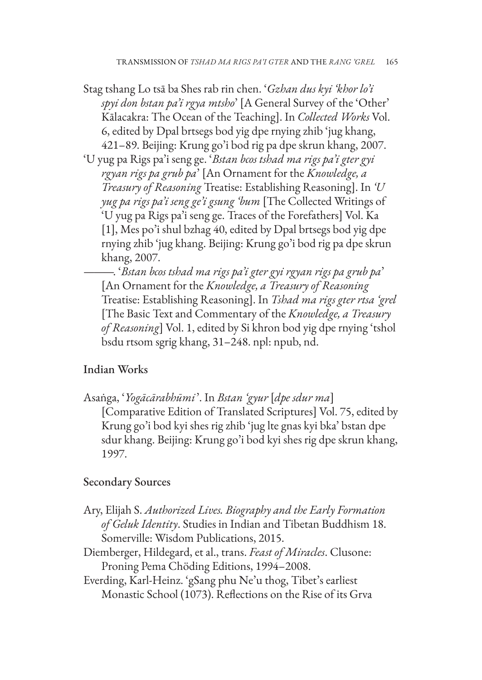- Stag tshang Lo tsā ba Shes rab rin chen. '*Gzhan dus kyi 'khor lo'i spyi don bstan pa'i rgya mtsho*' [A General Survey of the 'Other' Kālacakra: The Ocean of the Teaching]. In *Collected Works* Vol. 6, edited by Dpal brtsegs bod yig dpe rnying zhib 'jug khang, 421–89. Beijing: Krung go'i bod rig pa dpe skrun khang, 2007.
- 'U yug pa Rigs pa'i seng ge. '*Bstan bcos tshad ma rigs pa'i gter gyi rgyan rigs pa grub pa*' [An Ornament for the *Knowledge, a Treasury of Reasoning* Treatise: Establishing Reasoning]. In *'U yug pa rigs pa'i seng ge'i gsung 'bum* [The Collected Writings of 'U yug pa Rigs pa'i seng ge. Traces of the Forefathers] Vol. Ka [1], Mes po'i shul bzhag 40, edited by Dpal brtsegs bod yig dpe rnying zhib 'jug khang. Beijing: Krung go'i bod rig pa dpe skrun khang, 2007.

———. '*Bstan bcos tshad ma rigs pa'i gter gyi rgyan rigs pa grub pa*' [An Ornament for the *Knowledge, a Treasury of Reasoning* Treatise: Establishing Reasoning]. In *Tshad ma rigs gter rtsa 'grel* [The Basic Text and Commentary of the *Knowledge, a Treasury of Reasoning*] Vol. 1, edited by Si khron bod yig dpe rnying 'tshol bsdu rtsom sgrig khang, 31–248. npl: npub, nd.

## Indian Works

Asaṅga, '*Yogācārabhūmi*'. In *Bstan 'gyur* [*dpe sdur ma*] [Comparative Edition of Translated Scriptures] Vol. 75, edited by Krung go'i bod kyi shes rig zhib 'jug lte gnas kyi bka' bstan dpe sdur khang. Beijing: Krung go'i bod kyi shes rig dpe skrun khang, 1997.

## Secondary Sources

- Ary, Elijah S. *Authorized Lives. Biography and the Early Formation of Geluk Identity*. Studies in Indian and Tibetan Buddhism 18. Somerville: Wisdom Publications, 2015.
- Diemberger, Hildegard, et al., trans. *Feast of Miracles*. Clusone: Proning Pema Chöding Editions, 1994–2008.
- Everding, Karl-Heinz. 'gSang phu Ne'u thog, Tibet's earliest Monastic School (1073). Reflections on the Rise of its Grva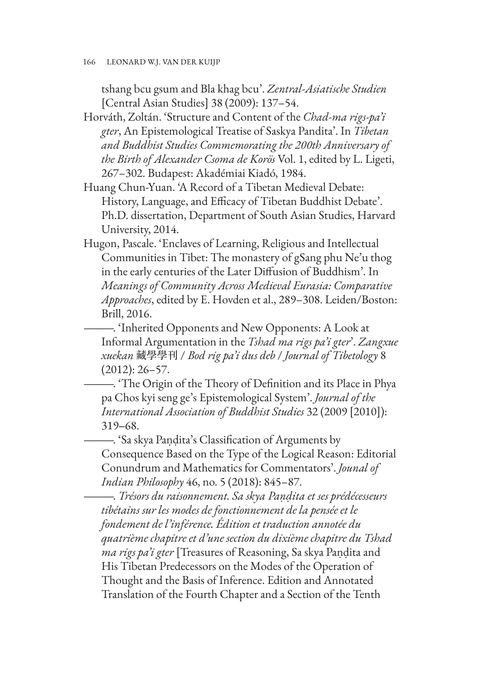tshang bcu gsum and Bla khag bcu'. *Zentral-Asiatische Studien* [Central Asian Studies] 38 (2009): 137–54.

- Horváth, Zoltán. 'Structure and Content of the *Chad-ma rigs-pa'i gter*, An Epistemological Treatise of Saskya Pandita'. In *Tibetan and Buddhist Studies Commemorating the 200th Anniversary of the Birth of Alexander Csoma de Korös* Vol. 1, edited by L. Ligeti, 267–302. Budapest: Akadémiai Kiadó, 1984.
- Huang Chun-Yuan. 'A Record of a Tibetan Medieval Debate: History, Language, and Efficacy of Tibetan Buddhist Debate'. Ph.D. dissertation, Department of South Asian Studies, Harvard University, 2014.
- Hugon, Pascale. 'Enclaves of Learning, Religious and Intellectual Communities in Tibet: The monastery of gSang phu Ne'u thog in the early centuries of the Later Diffusion of Buddhism'. In *Meanings of Community Across Medieval Eurasia: Comparative Approaches*, edited by E. Hovden et al., 289–308. Leiden/Boston: Brill, 2016.
	- ———. 'Inherited Opponents and New Opponents: A Look at Informal Argumentation in the *Tshad ma rigs pa'i gter*'. *Zangxue xuekan* 藏學學刊 / *Bod rig pa'i dus deb* / *Journal of Tibetology* 8 (2012): 26–57.
	- ———. 'The Origin of the Theory of Definition and its Place in Phya pa Chos kyi seng ge's Epistemological System'. *Journal of the International Association of Buddhist Studies* 32 (2009 [2010]): 319‒68.

———. 'Sa skya Paṇḍita's Classification of Arguments by Consequence Based on the Type of the Logical Reason: Editorial Conundrum and Mathematics for Commentators'. *Jounal of Indian Philosophy* 46, no. 5 (2018): 845–87.

———. *Trésors du raisonnement. Sa skya Paṇḍita et ses prédécesseurs tibétains sur les modes de fonctionnement de la pensée et le fondement de l'inférence. Édition et traduction annotée du quatrième chapitre et d'une section du dixième chapitre du Tshad ma rigs pa'i gter* [Treasures of Reasoning, Sa skya Paṇḍita and His Tibetan Predecessors on the Modes of the Operation of Thought and the Basis of Inference. Edition and Annotated Translation of the Fourth Chapter and a Section of the Tenth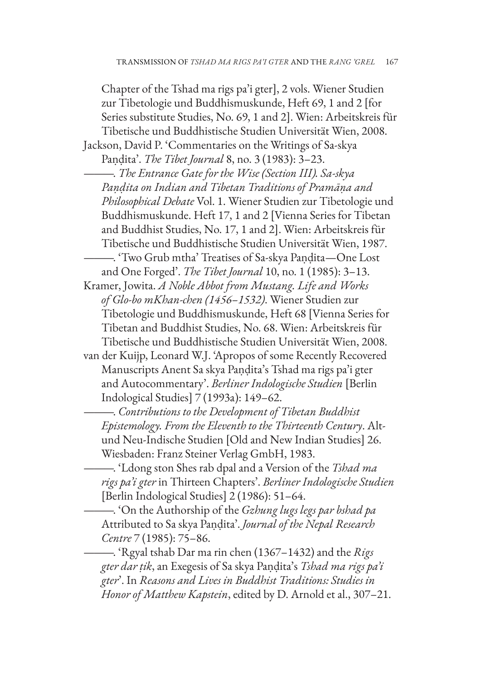Chapter of the Tshad ma rigs pa'i gter], 2 vols. Wiener Studien zur Tibetologie und Buddhismuskunde, Heft 69, 1 and 2 [for Series substitute Studies, No. 69, 1 and 2]. Wien: Arbeitskreis für Tibetische und Buddhistische Studien Universität Wien, 2008. Jackson, David P. 'Commentaries on the Writings of Sa-skya

Paṇḍita'. *The Tibet Journal* 8, no. 3 (1983): 3–23.

———. *The Entrance Gate for the Wise (Section III). Sa-skya Paṇḍita on Indian and Tibetan Traditions of Pramāṇa and Philosophical Debate* Vol. 1. Wiener Studien zur Tibetologie und Buddhismuskunde. Heft 17, 1 and 2 [Vienna Series for Tibetan and Buddhist Studies, No. 17, 1 and 2]. Wien: Arbeitskreis für Tibetische und Buddhistische Studien Universität Wien, 1987.

———. 'Two Grub mtha' Treatises of Sa-skya Paṇḍita—One Lost and One Forged'. *The Tibet Journal* 10, no. 1 (1985): 3–13.

Kramer, Jowita. *A Noble Abbot from Mustang. Life and Works of Glo-bo mKhan-chen (1456–1532)*. Wiener Studien zur Tibetologie und Buddhismuskunde, Heft 68 [Vienna Series for Tibetan and Buddhist Studies, No. 68. Wien: Arbeitskreis für Tibetische und Buddhistische Studien Universität Wien, 2008.

van der Kuijp, Leonard W.J. 'Apropos of some Recently Recovered Manuscripts Anent Sa skya Paṇḍita's Tshad ma rigs pa'i gter and Autocommentary'. *Berliner Indologische Studien* [Berlin Indological Studies] 7 (1993a): 149–62.

———. *Contributions to the Development of Tibetan Buddhist Epistemology. From the Eleventh to the Thirteenth Century*. Altund Neu-Indische Studien [Old and New Indian Studies] 26. Wiesbaden: Franz Steiner Verlag GmbH, 1983.

———. 'Ldong ston Shes rab dpal and a Version of the *Tshad ma rigs pa'i gter* in Thirteen Chapters'. *Berliner Indologische Studien* [Berlin Indological Studies] 2 (1986): 51–64.

———. 'On the Authorship of the *Gzhung lugs legs par bshad pa* Attributed to Sa skya Paṇḍita'. *Journal of the Nepal Research Centre* 7 (1985): 75–86.

———. 'Rgyal tshab Dar ma rin chen (1367–1432) and the *Rigs gter dar ṭik*, an Exegesis of Sa skya Paṇḍita's *Tshad ma rigs pa'i gter*'. In *Reasons and Lives in Buddhist Traditions: Studies in Honor of Matthew Kapstein*, edited by D. Arnold et al., 307–21.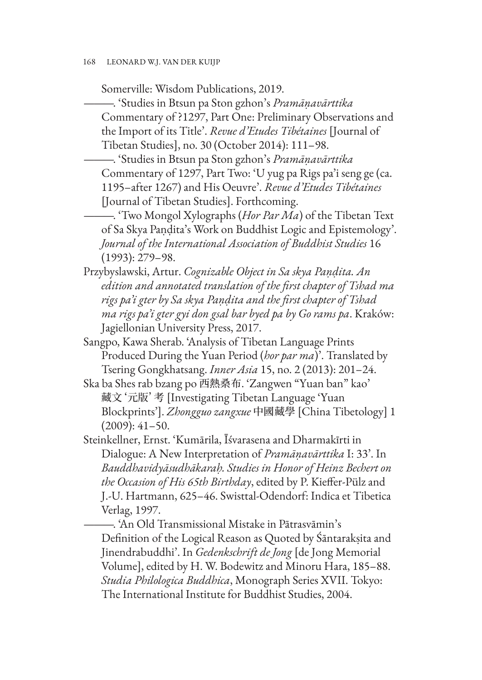Somerville: Wisdom Publications, 2019.

———. 'Studies in Btsun pa Ston gzhon's *Pramāṇavārttika* Commentary of ?1297, Part One: Preliminary Observations and the Import of its Title'. *Revue d'Etudes Tibétaines* [Journal of Tibetan Studies], no. 30 (October 2014): 111–98.

———. 'Studies in Btsun pa Ston gzhon's *Pramāṇavārttika* Commentary of 1297, Part Two: 'U yug pa Rigs pa'i seng ge (ca. 1195–after 1267) and His Oeuvre'. *Revue d'Etudes Tibétaines* [Journal of Tibetan Studies]. Forthcoming.

———. 'Two Mongol Xylographs (*Hor Par Ma*) of the Tibetan Text of Sa Skya Paṇḍita's Work on Buddhist Logic and Epistemology'. *Journal of the International Association of Buddhist Studies* 16 (1993): 279–98.

Przybyslawski, Artur. *Cognizable Object in Sa skya Paṇḍita. An edition and annotated translation of the first chapter of Tshad ma rigs pa'i gter by Sa skya Paṇḍita and the first chapter of Tshad ma rigs pa'i gter gyi don gsal bar byed pa by Go rams pa*. Kraków: Jagiellonian University Press, 2017.

Sangpo, Kawa Sherab. 'Analysis of Tibetan Language Prints Produced During the Yuan Period (*hor par ma*)'. Translated by Tsering Gongkhatsang. *Inner Asia* 15, no. 2 (2013): 201–24.

Ska ba Shes rab bzang po 西熱桑布. 'Zangwen "Yuan ban" kao' 藏文'元版'考 [Investigating Tibetan Language 'Yuan Blockprints']. *Zhongguo zangxue* 中國藏學 [China Tibetology] 1 (2009): 41–50.

Steinkellner, Ernst. 'Kumārila, Īśvarasena and Dharmakīrti in Dialogue: A New Interpretation of *Pramāṇavārttika* I: 33'. In *Bauddhavidyāsudhākaraḥ. Studies in Honor of Heinz Bechert on the Occasion of His 65th Birthday*, edited by P. Kieffer-Pülz and J.-U. Hartmann, 625–46. Swisttal-Odendorf: Indica et Tibetica Verlag, 1997.

———. 'An Old Transmissional Mistake in Pātrasvāmin's Definition of the Logical Reason as Quoted by Śāntarakṣita and Jinendrabuddhi'. In *Gedenkschrift de Jong* [de Jong Memorial Volume], edited by H. W. Bodewitz and Minoru Hara, 185–88. *Studia Philologica Buddhica*, Monograph Series XVII. Tokyo: The International Institute for Buddhist Studies, 2004.